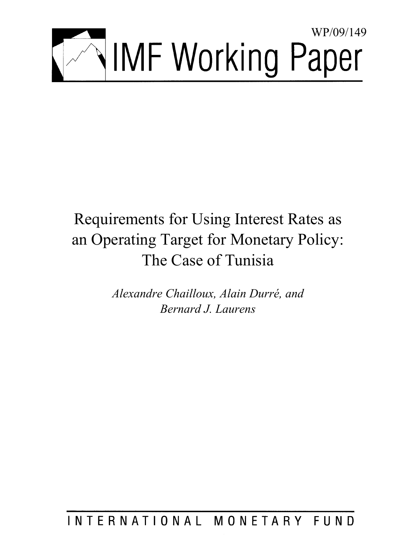

# Requirements for Using Interest Rates as an Operating Target for Monetary Policy: The Case of Tunisia

*Alexandre Chailloux, Alain Durré, and Bernard J. Laurens* 

## INTERNATIONAL MONETARY FUND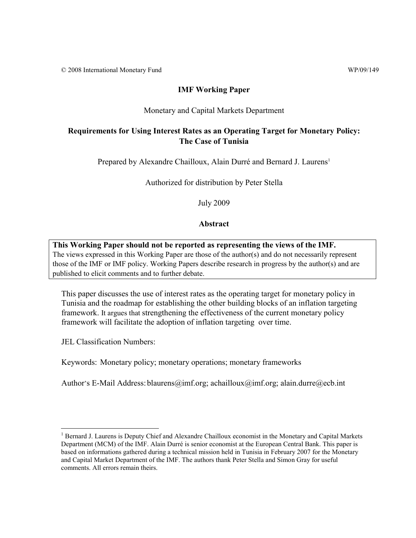© 2008 International Monetary Fund WP/09/149

### **IMF Working Paper**

#### Monetary and Capital Markets Department

## **Requirements for Using Interest Rates as an Operating Target for Monetary Policy: The Case of Tunisia**

Prepared by Alexandre Chailloux, Alain Durré and Bernard J. Laurens<sup>1</sup>

Authorized for distribution by Peter Stella

July 2009

### **Abstract**

**This Working Paper should not be reported as representing the views of the IMF.** The views expressed in this Working Paper are those of the author(s) and do not necessarily represent those of the IMF or IMF policy. Working Papers describe research in progress by the author(s) and are published to elicit comments and to further debate.

This paper discusses the use of interest rates as the operating target for monetary policy in Tunisia and the roadmap for establishing the other building blocks of an inflation targeting framework. It argues that strengthening the effectiveness of the current monetary policy framework will facilitate the adoption of inflation targeting over time.

JEL Classification Numbers:

<u>.</u>

Keywords: Monetary policy; monetary operations; monetary frameworks

Author's E-Mail Address: blaurens@imf.org; achailloux@imf.org; alain.durre@ecb.int

<sup>&</sup>lt;sup>1</sup> Bernard J. Laurens is Deputy Chief and Alexandre Chailloux economist in the Monetary and Capital Markets Department (MCM) of the IMF. Alain Durré is senior economist at the European Central Bank. This paper is based on informations gathered during a technical mission held in Tunisia in February 2007 for the Monetary and Capital Market Department of the IMF. The authors thank Peter Stella and Simon Gray for useful comments. All errors remain theirs.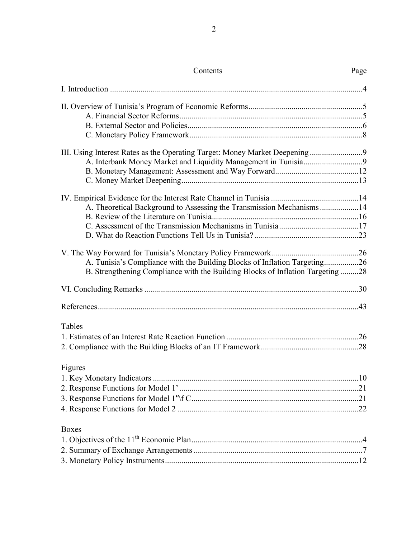| Contents                                                                       | Page |
|--------------------------------------------------------------------------------|------|
|                                                                                |      |
|                                                                                |      |
|                                                                                |      |
|                                                                                |      |
|                                                                                |      |
|                                                                                |      |
|                                                                                |      |
|                                                                                |      |
|                                                                                |      |
|                                                                                |      |
| A. Theoretical Background to Assessing the Transmission Mechanisms 14          |      |
|                                                                                |      |
|                                                                                |      |
|                                                                                |      |
|                                                                                |      |
| A. Tunisia's Compliance with the Building Blocks of Inflation Targeting26      |      |
| B. Strengthening Compliance with the Building Blocks of Inflation Targeting 28 |      |
|                                                                                |      |
|                                                                                |      |
|                                                                                |      |
| Tables                                                                         |      |
|                                                                                |      |
|                                                                                |      |
| Figures                                                                        |      |
|                                                                                |      |
|                                                                                |      |
|                                                                                |      |
|                                                                                |      |
|                                                                                |      |
| <b>Boxes</b>                                                                   |      |
|                                                                                |      |
|                                                                                |      |
|                                                                                |      |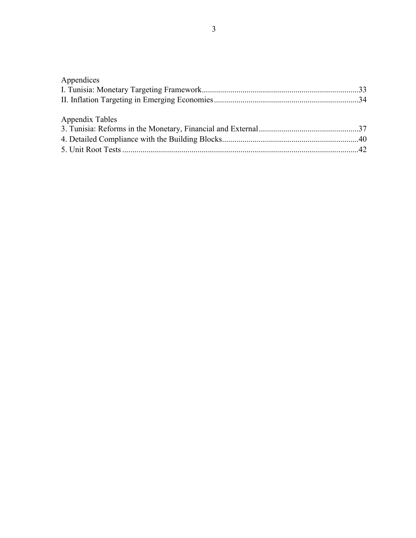| Appendices      |  |
|-----------------|--|
|                 |  |
|                 |  |
|                 |  |
| Appendix Tables |  |
|                 |  |
|                 |  |
|                 |  |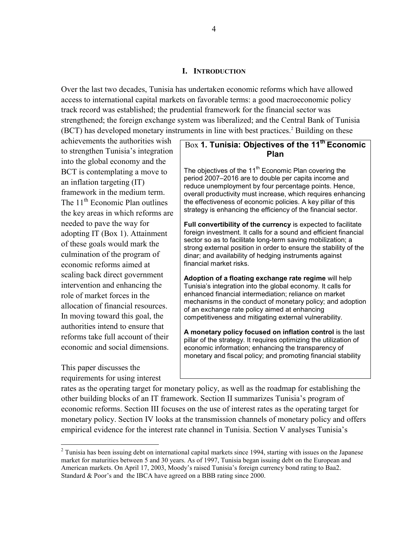#### **I. INTRODUCTION**

Over the last two decades, Tunisia has undertaken economic reforms which have allowed access to international capital markets on favorable terms: a good macroeconomic policy track record was established; the prudential framework for the financial sector was strengthened; the foreign exchange system was liberalized; and the Central Bank of Tunisia (BCT) has developed monetary instruments in line with best practices.<sup>2</sup> Building on these

achievements the authorities wish to strengthen Tunisia's integration into the global economy and the BCT is contemplating a move to an inflation targeting (IT) framework in the medium term. The  $11^{th}$  Economic Plan outlines the key areas in which reforms are needed to pave the way for adopting IT (Box 1). Attainment of these goals would mark the culmination of the program of economic reforms aimed at scaling back direct government intervention and enhancing the role of market forces in the allocation of financial resources. In moving toward this goal, the authorities intend to ensure that reforms take full account of their economic and social dimensions.

This paper discusses the requirements for using interest

1

## Box **1. Tunisia: Objectives of the 11<sup>th</sup> Economic Plan**

The objectives of the  $11<sup>th</sup>$  Economic Plan covering the period 2007–2016 are to double per capita income and reduce unemployment by four percentage points. Hence, overall productivity must increase, which requires enhancing the effectiveness of economic policies. A key pillar of this strategy is enhancing the efficiency of the financial sector.

**Full convertibility of the currency** is expected to facilitate foreign investment. It calls for a sound and efficient financial sector so as to facilitate long-term saving mobilization; a strong external position in order to ensure the stability of the dinar; and availability of hedging instruments against financial market risks.

**Adoption of a floating exchange rate regime** will help Tunisia's integration into the global economy. It calls for enhanced financial intermediation; reliance on market mechanisms in the conduct of monetary policy; and adoption of an exchange rate policy aimed at enhancing competitiveness and mitigating external vulnerability.

**A monetary policy focused on inflation control** is the last pillar of the strategy. It requires optimizing the utilization of economic information; enhancing the transparency of monetary and fiscal policy; and promoting financial stability

rates as the operating target for monetary policy, as well as the roadmap for establishing the other building blocks of an IT framework. Section II summarizes Tunisia's program of economic reforms. Section III focuses on the use of interest rates as the operating target for monetary policy. Section IV looks at the transmission channels of monetary policy and offers empirical evidence for the interest rate channel in Tunisia. Section V analyses Tunisia's

 $2$  Tunisia has been issuing debt on international capital markets since 1994, starting with issues on the Japanese market for maturities between 5 and 30 years. As of 1997, Tunisia began issuing debt on the European and American markets. On April 17, 2003, Moody's raised Tunisia's foreign currency bond rating to Baa2. Standard & Poor's and the IBCA have agreed on a BBB rating since 2000.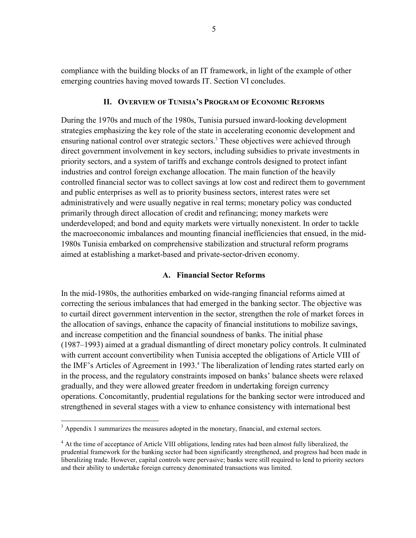compliance with the building blocks of an IT framework, in light of the example of other emerging countries having moved towards IT. Section VI concludes.

#### **II. OVERVIEW OF TUNISIA'S PROGRAM OF ECONOMIC REFORMS**

During the 1970s and much of the 1980s, Tunisia pursued inward-looking development strategies emphasizing the key role of the state in accelerating economic development and ensuring national control over strategic sectors.<sup>3</sup> These objectives were achieved through direct government involvement in key sectors, including subsidies to private investments in priority sectors, and a system of tariffs and exchange controls designed to protect infant industries and control foreign exchange allocation. The main function of the heavily controlled financial sector was to collect savings at low cost and redirect them to government and public enterprises as well as to priority business sectors, interest rates were set administratively and were usually negative in real terms; monetary policy was conducted primarily through direct allocation of credit and refinancing; money markets were underdeveloped; and bond and equity markets were virtually nonexistent. In order to tackle the macroeconomic imbalances and mounting financial inefficiencies that ensued, in the mid-1980s Tunisia embarked on comprehensive stabilization and structural reform programs aimed at establishing a market-based and private-sector-driven economy.

#### **A. Financial Sector Reforms**

In the mid-1980s, the authorities embarked on wide-ranging financial reforms aimed at correcting the serious imbalances that had emerged in the banking sector. The objective was to curtail direct government intervention in the sector, strengthen the role of market forces in the allocation of savings, enhance the capacity of financial institutions to mobilize savings, and increase competition and the financial soundness of banks. The initial phase (1987–1993) aimed at a gradual dismantling of direct monetary policy controls. It culminated with current account convertibility when Tunisia accepted the obligations of Article VIII of the IMF's Articles of Agreement in 1993.<sup>4</sup> The liberalization of lending rates started early on in the process, and the regulatory constraints imposed on banks' balance sheets were relaxed gradually, and they were allowed greater freedom in undertaking foreign currency operations. Concomitantly, prudential regulations for the banking sector were introduced and strengthened in several stages with a view to enhance consistency with international best

 $3$  Appendix 1 summarizes the measures adopted in the monetary, financial, and external sectors.

<sup>&</sup>lt;sup>4</sup> At the time of acceptance of Article VIII obligations, lending rates had been almost fully liberalized, the prudential framework for the banking sector had been significantly strengthened, and progress had been made in liberalizing trade. However, capital controls were pervasive; banks were still required to lend to priority sectors and their ability to undertake foreign currency denominated transactions was limited.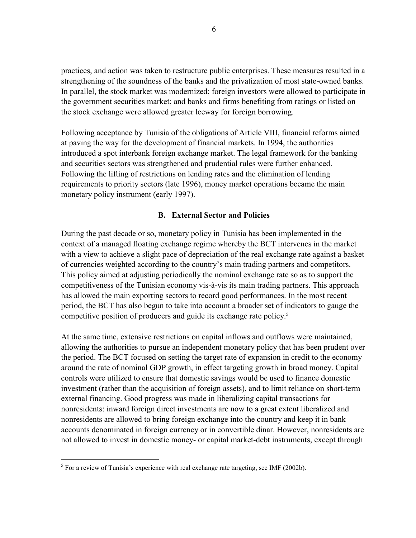practices, and action was taken to restructure public enterprises. These measures resulted in a strengthening of the soundness of the banks and the privatization of most state-owned banks. In parallel, the stock market was modernized; foreign investors were allowed to participate in the government securities market; and banks and firms benefiting from ratings or listed on the stock exchange were allowed greater leeway for foreign borrowing.

Following acceptance by Tunisia of the obligations of Article VIII, financial reforms aimed at paving the way for the development of financial markets. In 1994, the authorities introduced a spot interbank foreign exchange market. The legal framework for the banking and securities sectors was strengthened and prudential rules were further enhanced. Following the lifting of restrictions on lending rates and the elimination of lending requirements to priority sectors (late 1996), money market operations became the main monetary policy instrument (early 1997).

### **B. External Sector and Policies**

During the past decade or so, monetary policy in Tunisia has been implemented in the context of a managed floating exchange regime whereby the BCT intervenes in the market with a view to achieve a slight pace of depreciation of the real exchange rate against a basket of currencies weighted according to the country's main trading partners and competitors. This policy aimed at adjusting periodically the nominal exchange rate so as to support the competitiveness of the Tunisian economy vis-à-vis its main trading partners. This approach has allowed the main exporting sectors to record good performances. In the most recent period, the BCT has also begun to take into account a broader set of indicators to gauge the competitive position of producers and guide its exchange rate policy.<sup>5</sup>

At the same time, extensive restrictions on capital inflows and outflows were maintained, allowing the authorities to pursue an independent monetary policy that has been prudent over the period. The BCT focused on setting the target rate of expansion in credit to the economy around the rate of nominal GDP growth, in effect targeting growth in broad money. Capital controls were utilized to ensure that domestic savings would be used to finance domestic investment (rather than the acquisition of foreign assets), and to limit reliance on short-term external financing. Good progress was made in liberalizing capital transactions for nonresidents: inward foreign direct investments are now to a great extent liberalized and nonresidents are allowed to bring foreign exchange into the country and keep it in bank accounts denominated in foreign currency or in convertible dinar. However, nonresidents are not allowed to invest in domestic money- or capital market-debt instruments, except through

<sup>&</sup>lt;sup>5</sup> For a review of Tunisia's experience with real exchange rate targeting, see IMF (2002b).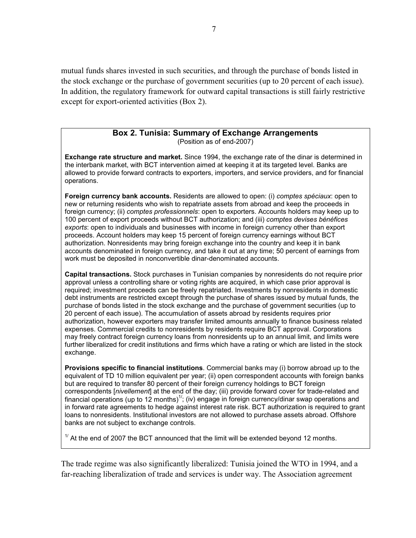mutual funds shares invested in such securities, and through the purchase of bonds listed in the stock exchange or the purchase of government securities (up to 20 percent of each issue). In addition, the regulatory framework for outward capital transactions is still fairly restrictive except for export-oriented activities (Box 2).

## **Box 2. Tunisia: Summary of Exchange Arrangements**

(Position as of end-2007)

**Exchange rate structure and market.** Since 1994, the exchange rate of the dinar is determined in the interbank market, with BCT intervention aimed at keeping it at its targeted level. Banks are allowed to provide forward contracts to exporters, importers, and service providers, and for financial operations.

**Foreign currency bank accounts.** Residents are allowed to open: (i) *comptes spéciaux*: open to new or returning residents who wish to repatriate assets from abroad and keep the proceeds in foreign currency; (ii) *comptes professionnels*: open to exporters. Accounts holders may keep up to 100 percent of export proceeds without BCT authorization; and (iii) *comptes devises bénéfices exports*: open to individuals and businesses with income in foreign currency other than export proceeds. Account holders may keep 15 percent of foreign currency earnings without BCT authorization. Nonresidents may bring foreign exchange into the country and keep it in bank accounts denominated in foreign currency, and take it out at any time; 50 percent of earnings from work must be deposited in nonconvertible dinar-denominated accounts.

**Capital transactions.** Stock purchases in Tunisian companies by nonresidents do not require prior approval unless a controlling share or voting rights are acquired, in which case prior approval is required; investment proceeds can be freely repatriated. Investments by nonresidents in domestic debt instruments are restricted except through the purchase of shares issued by mutual funds, the purchase of bonds listed in the stock exchange and the purchase of government securities (up to 20 percent of each issue). The accumulation of assets abroad by residents requires prior authorization, however exporters may transfer limited amounts annually to finance business related expenses. Commercial credits to nonresidents by residents require BCT approval. Corporations may freely contract foreign currency loans from nonresidents up to an annual limit, and limits were further liberalized for credit institutions and firms which have a rating or which are listed in the stock exchange.

**Provisions specific to financial institutions**. Commercial banks may (i) borrow abroad up to the equivalent of TD 10 million equivalent per year; (ii) open correspondent accounts with foreign banks but are required to transfer 80 percent of their foreign currency holdings to BCT foreign correspondents [*nivellement*] at the end of the day; (iii) provide forward cover for trade-related and financial operations (up to 12 months)<sup>1/</sup>; (iv) engage in foreign currency/dinar swap operations and in forward rate agreements to hedge against interest rate risk. BCT authorization is required to grant loans to nonresidents. Institutional investors are not allowed to purchase assets abroad. Offshore banks are not subject to exchange controls.

 $1/$  At the end of 2007 the BCT announced that the limit will be extended beyond 12 months.

The trade regime was also significantly liberalized: Tunisia joined the WTO in 1994, and a far-reaching liberalization of trade and services is under way. The Association agreement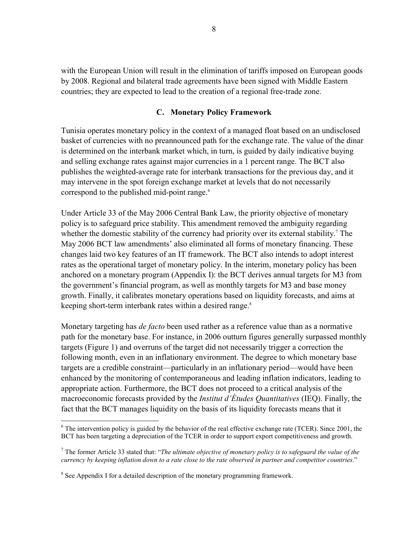with the European Union will result in the elimination of tariffs imposed on European goods by 2008. Regional and bilateral trade agreements have been signed with Middle Eastern countries; they are expected to lead to the creation of a regional free-trade zone.

### **C. Monetary Policy Framework**

Tunisia operates monetary policy in the context of a managed float based on an undisclosed basket of currencies with no preannounced path for the exchange rate. The value of the dinar is determined on the interbank market which, in turn, is guided by daily indicative buying and selling exchange rates against major currencies in a 1 percent range. The BCT also publishes the weighted-average rate for interbank transactions for the previous day, and it may intervene in the spot foreign exchange market at levels that do not necessarily correspond to the published mid-point range.<sup>6</sup>

Under Article 33 of the May 2006 Central Bank Law, the priority objective of monetary policy is to safeguard price stability. This amendment removed the ambiguity regarding whether the domestic stability of the currency had priority over its external stability.<sup>7</sup> The May 2006 BCT law amendments' also eliminated all forms of monetary financing. These changes laid two key features of an IT framework. The BCT also intends to adopt interest rates as the operational target of monetary policy. In the interim, monetary policy has been anchored on a monetary program (Appendix I): the BCT derives annual targets for M3 from the government's financial program, as well as monthly targets for M3 and base money growth. Finally, it calibrates monetary operations based on liquidity forecasts, and aims at keeping short-term interbank rates within a desired range.<sup>8</sup>

Monetary targeting has *de facto* been used rather as a reference value than as a normative path for the monetary base. For instance, in 2006 outturn figures generally surpassed monthly targets (Figure 1) and overruns of the target did not necessarily trigger a correction the following month, even in an inflationary environment. The degree to which monetary base targets are a credible constraint—particularly in an inflationary period—would have been enhanced by the monitoring of contemporaneous and leading inflation indicators, leading to appropriate action. Furthermore, the BCT does not proceed to a critical analysis of the macroeconomic forecasts provided by the *Institut d'Études Quantitatives* (IEQ). Finally, the fact that the BCT manages liquidity on the basis of its liquidity forecasts means that it

1

 $6$  The intervention policy is guided by the behavior of the real effective exchange rate (TCER). Since 2001, the BCT has been targeting a depreciation of the TCER in order to support export competitiveness and growth.

<sup>7</sup> The former Article 33 stated that: "*The ultimate objective of monetary policy is to safeguard the value of the currency by keeping inflation down to a rate close to the rate observed in partner and competitor countries*."

<sup>&</sup>lt;sup>8</sup> See Appendix I for a detailed description of the monetary programming framework.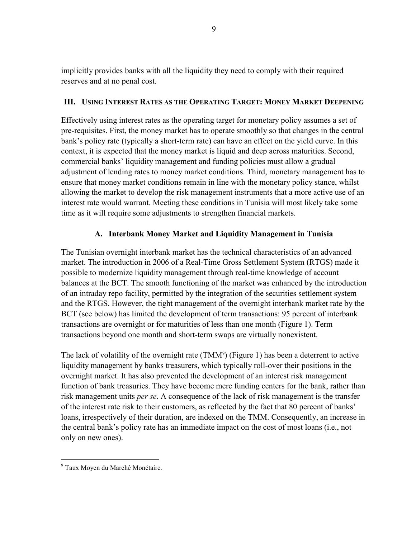implicitly provides banks with all the liquidity they need to comply with their required reserves and at no penal cost.

## **III. USING INTEREST RATES AS THE OPERATING TARGET: MONEY MARKET DEEPENING**

Effectively using interest rates as the operating target for monetary policy assumes a set of pre-requisites. First, the money market has to operate smoothly so that changes in the central bank's policy rate (typically a short-term rate) can have an effect on the yield curve. In this context, it is expected that the money market is liquid and deep across maturities. Second, commercial banks' liquidity management and funding policies must allow a gradual adjustment of lending rates to money market conditions. Third, monetary management has to ensure that money market conditions remain in line with the monetary policy stance, whilst allowing the market to develop the risk management instruments that a more active use of an interest rate would warrant. Meeting these conditions in Tunisia will most likely take some time as it will require some adjustments to strengthen financial markets.

## **A. Interbank Money Market and Liquidity Management in Tunisia**

The Tunisian overnight interbank market has the technical characteristics of an advanced market. The introduction in 2006 of a Real-Time Gross Settlement System (RTGS) made it possible to modernize liquidity management through real-time knowledge of account balances at the BCT. The smooth functioning of the market was enhanced by the introduction of an intraday repo facility, permitted by the integration of the securities settlement system and the RTGS. However, the tight management of the overnight interbank market rate by the BCT (see below) has limited the development of term transactions: 95 percent of interbank transactions are overnight or for maturities of less than one month (Figure 1). Term transactions beyond one month and short-term swaps are virtually nonexistent.

The lack of volatility of the overnight rate  $(TMM<sup>9</sup>)$  (Figure 1) has been a deterrent to active liquidity management by banks treasurers, which typically roll-over their positions in the overnight market. It has also prevented the development of an interest risk management function of bank treasuries. They have become mere funding centers for the bank, rather than risk management units *per se*. A consequence of the lack of risk management is the transfer of the interest rate risk to their customers, as reflected by the fact that 80 percent of banks' loans, irrespectively of their duration, are indexed on the TMM. Consequently, an increase in the central bank's policy rate has an immediate impact on the cost of most loans (i.e., not only on new ones).

<sup>&</sup>lt;sup>9</sup> Taux Moyen du Marché Monétaire.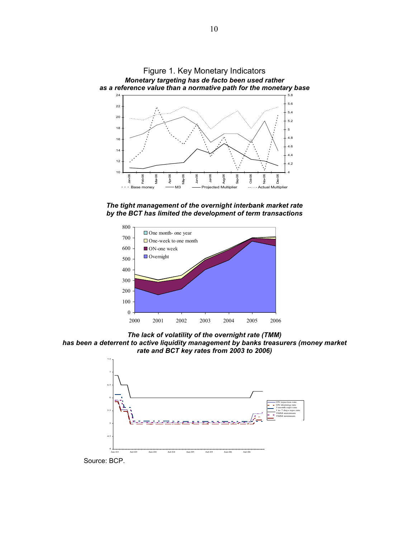

*The tight management of the overnight interbank market rate by the BCT has limited the development of term transactions*



*The lack of volatility of the overnight rate (TMM) has been a deterrent to active liquidity management by banks treasurers (money market rate and BCT key rates from 2003 to 2006)*



Source: BCP.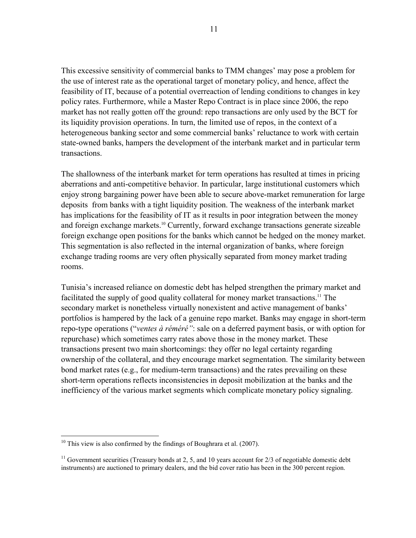This excessive sensitivity of commercial banks to TMM changes' may pose a problem for the use of interest rate as the operational target of monetary policy, and hence, affect the feasibility of IT, because of a potential overreaction of lending conditions to changes in key policy rates. Furthermore, while a Master Repo Contract is in place since 2006, the repo market has not really gotten off the ground: repo transactions are only used by the BCT for its liquidity provision operations. In turn, the limited use of repos, in the context of a heterogeneous banking sector and some commercial banks' reluctance to work with certain state-owned banks, hampers the development of the interbank market and in particular term transactions.

The shallowness of the interbank market for term operations has resulted at times in pricing aberrations and anti-competitive behavior. In particular, large institutional customers which enjoy strong bargaining power have been able to secure above-market remuneration for large deposits from banks with a tight liquidity position. The weakness of the interbank market has implications for the feasibility of IT as it results in poor integration between the money and foreign exchange markets.<sup>10</sup> Currently, forward exchange transactions generate sizeable foreign exchange open positions for the banks which cannot be hedged on the money market. This segmentation is also reflected in the internal organization of banks, where foreign exchange trading rooms are very often physically separated from money market trading rooms.

Tunisia's increased reliance on domestic debt has helped strengthen the primary market and facilitated the supply of good quality collateral for money market transactions.<sup>11</sup> The secondary market is nonetheless virtually nonexistent and active management of banks' portfolios is hampered by the lack of a genuine repo market. Banks may engage in short-term repo-type operations ("*ventes à réméré"*: sale on a deferred payment basis, or with option for repurchase) which sometimes carry rates above those in the money market. These transactions present two main shortcomings: they offer no legal certainty regarding ownership of the collateral, and they encourage market segmentation. The similarity between bond market rates (e.g., for medium-term transactions) and the rates prevailing on these short-term operations reflects inconsistencies in deposit mobilization at the banks and the inefficiency of the various market segments which complicate monetary policy signaling.

 $10$  This view is also confirmed by the findings of Boughrara et al. (2007).

<sup>&</sup>lt;sup>11</sup> Government securities (Treasury bonds at 2, 5, and 10 years account for  $2/3$  of negotiable domestic debt instruments) are auctioned to primary dealers, and the bid cover ratio has been in the 300 percent region.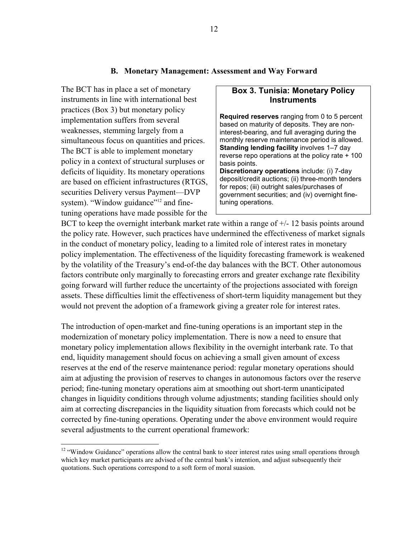#### **B. Monetary Management: Assessment and Way Forward**

The BCT has in place a set of monetary instruments in line with international best practices (Box 3) but monetary policy implementation suffers from several weaknesses, stemming largely from a simultaneous focus on quantities and prices. The BCT is able to implement monetary policy in a context of structural surpluses or deficits of liquidity. Its monetary operations are based on efficient infrastructures (RTGS, securities Delivery versus Payment—DVP system). "Window guidance"<sup>12</sup> and finetuning operations have made possible for the

 $\overline{a}$ 

### **Box 3. Tunisia: Monetary Policy Instruments**

**Required reserves** ranging from 0 to 5 percent based on maturity of deposits. They are noninterest-bearing, and full averaging during the monthly reserve maintenance period is allowed. **Standing lending facility** involves 1–7 day reverse repo operations at the policy rate + 100 basis points.

**Discretionary operations** include: (i) 7-day deposit/credit auctions; (ii) three-month tenders for repos; (iii) outright sales/purchases of government securities; and (iv) overnight finetuning operations.

BCT to keep the overnight interbank market rate within a range of  $+/-12$  basis points around the policy rate. However, such practices have undermined the effectiveness of market signals in the conduct of monetary policy, leading to a limited role of interest rates in monetary policy implementation. The effectiveness of the liquidity forecasting framework is weakened by the volatility of the Treasury's end-of-the day balances with the BCT. Other autonomous factors contribute only marginally to forecasting errors and greater exchange rate flexibility going forward will further reduce the uncertainty of the projections associated with foreign assets. These difficulties limit the effectiveness of short-term liquidity management but they would not prevent the adoption of a framework giving a greater role for interest rates.

The introduction of open-market and fine-tuning operations is an important step in the modernization of monetary policy implementation. There is now a need to ensure that monetary policy implementation allows flexibility in the overnight interbank rate. To that end, liquidity management should focus on achieving a small given amount of excess reserves at the end of the reserve maintenance period: regular monetary operations should aim at adjusting the provision of reserves to changes in autonomous factors over the reserve period; fine-tuning monetary operations aim at smoothing out short-term unanticipated changes in liquidity conditions through volume adjustments; standing facilities should only aim at correcting discrepancies in the liquidity situation from forecasts which could not be corrected by fine-tuning operations. Operating under the above environment would require several adjustments to the current operational framework:

<sup>&</sup>lt;sup>12</sup> "Window Guidance" operations allow the central bank to steer interest rates using small operations through which key market participants are advised of the central bank's intention, and adjust subsequently their quotations. Such operations correspond to a soft form of moral suasion.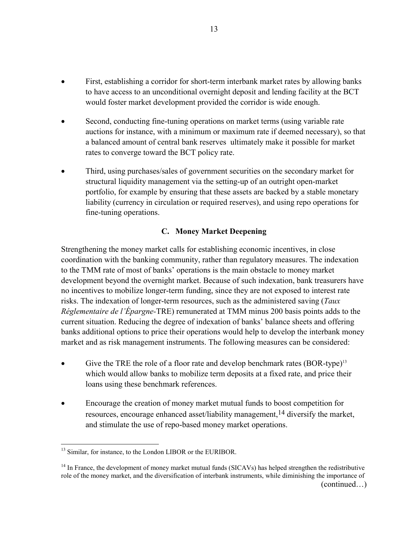- First, establishing a corridor for short-term interbank market rates by allowing banks to have access to an unconditional overnight deposit and lending facility at the BCT would foster market development provided the corridor is wide enough.
- Second, conducting fine-tuning operations on market terms (using variable rate auctions for instance, with a minimum or maximum rate if deemed necessary), so that a balanced amount of central bank reserves ultimately make it possible for market rates to converge toward the BCT policy rate.
- Third, using purchases/sales of government securities on the secondary market for structural liquidity management via the setting-up of an outright open-market portfolio, for example by ensuring that these assets are backed by a stable monetary liability (currency in circulation or required reserves), and using repo operations for fine-tuning operations.

#### **C. Money Market Deepening**

Strengthening the money market calls for establishing economic incentives, in close coordination with the banking community, rather than regulatory measures. The indexation to the TMM rate of most of banks' operations is the main obstacle to money market development beyond the overnight market. Because of such indexation, bank treasurers have no incentives to mobilize longer-term funding, since they are not exposed to interest rate risks. The indexation of longer-term resources, such as the administered saving (*Taux Réglementaire de l'Épargne-*TRE) remunerated at TMM minus 200 basis points adds to the current situation. Reducing the degree of indexation of banks' balance sheets and offering banks additional options to price their operations would help to develop the interbank money market and as risk management instruments. The following measures can be considered:

- Give the TRE the role of a floor rate and develop benchmark rates  $(BOR-type)^{13}$ which would allow banks to mobilize term deposits at a fixed rate, and price their loans using these benchmark references.
- Encourage the creation of money market mutual funds to boost competition for resources, encourage enhanced asset/liability management,14 diversify the market, and stimulate the use of repo-based money market operations.

<sup>&</sup>lt;sup>13</sup> Similar, for instance, to the London LIBOR or the EURIBOR.

<sup>&</sup>lt;sup>14</sup> In France, the development of money market mutual funds (SICAVs) has helped strengthen the redistributive role of the money market, and the diversification of interbank instruments, while diminishing the importance of (continued…)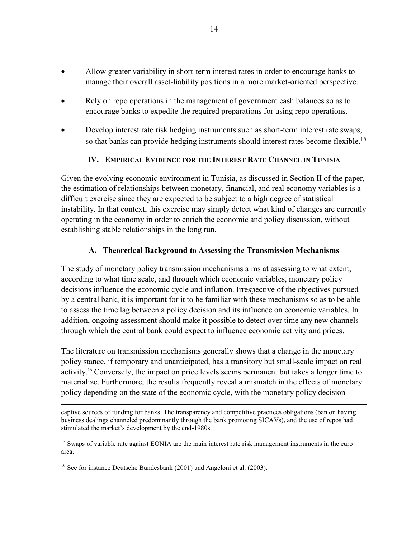- Allow greater variability in short-term interest rates in order to encourage banks to manage their overall asset-liability positions in a more market-oriented perspective.
- Rely on repo operations in the management of government cash balances so as to encourage banks to expedite the required preparations for using repo operations.
- Develop interest rate risk hedging instruments such as short-term interest rate swaps, so that banks can provide hedging instruments should interest rates become flexible.<sup>15</sup>

## **IV. EMPIRICAL EVIDENCE FOR THE INTEREST RATE CHANNEL IN TUNISIA**

Given the evolving economic environment in Tunisia, as discussed in Section II of the paper, the estimation of relationships between monetary, financial, and real economy variables is a difficult exercise since they are expected to be subject to a high degree of statistical instability. In that context, this exercise may simply detect what kind of changes are currently operating in the economy in order to enrich the economic and policy discussion, without establishing stable relationships in the long run.

## **A. Theoretical Background to Assessing the Transmission Mechanisms**

The study of monetary policy transmission mechanisms aims at assessing to what extent, according to what time scale, and through which economic variables, monetary policy decisions influence the economic cycle and inflation. Irrespective of the objectives pursued by a central bank, it is important for it to be familiar with these mechanisms so as to be able to assess the time lag between a policy decision and its influence on economic variables. In addition, ongoing assessment should make it possible to detect over time any new channels through which the central bank could expect to influence economic activity and prices.

The literature on transmission mechanisms generally shows that a change in the monetary policy stance, if temporary and unanticipated, has a transitory but small-scale impact on real activity.16 Conversely, the impact on price levels seems permanent but takes a longer time to materialize. Furthermore, the results frequently reveal a mismatch in the effects of monetary policy depending on the state of the economic cycle, with the monetary policy decision

captive sources of funding for banks. The transparency and competitive practices obligations (ban on having business dealings channeled predominantly through the bank promoting SICAVs), and the use of repos had stimulated the market's development by the end-1980s.

<sup>&</sup>lt;sup>15</sup> Swaps of variable rate against EONIA are the main interest rate risk management instruments in the euro area.

<sup>&</sup>lt;sup>16</sup> See for instance Deutsche Bundesbank (2001) and Angeloni et al. (2003).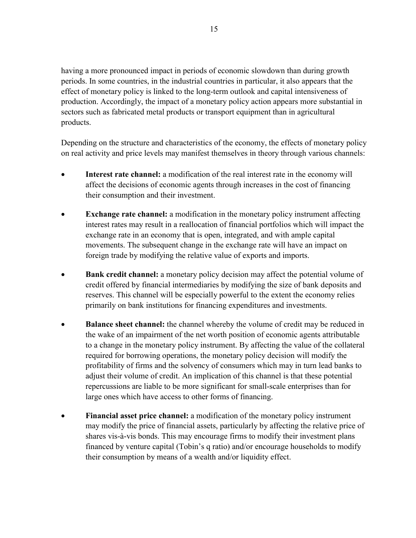having a more pronounced impact in periods of economic slowdown than during growth periods. In some countries, in the industrial countries in particular, it also appears that the effect of monetary policy is linked to the long-term outlook and capital intensiveness of production. Accordingly, the impact of a monetary policy action appears more substantial in sectors such as fabricated metal products or transport equipment than in agricultural products.

Depending on the structure and characteristics of the economy, the effects of monetary policy on real activity and price levels may manifest themselves in theory through various channels:

- **Interest rate channel:** a modification of the real interest rate in the economy will affect the decisions of economic agents through increases in the cost of financing their consumption and their investment.
- **Exchange rate channel:** a modification in the monetary policy instrument affecting interest rates may result in a reallocation of financial portfolios which will impact the exchange rate in an economy that is open, integrated, and with ample capital movements. The subsequent change in the exchange rate will have an impact on foreign trade by modifying the relative value of exports and imports.
- **Bank credit channel:** a monetary policy decision may affect the potential volume of credit offered by financial intermediaries by modifying the size of bank deposits and reserves. This channel will be especially powerful to the extent the economy relies primarily on bank institutions for financing expenditures and investments.
- **Balance sheet channel:** the channel whereby the volume of credit may be reduced in the wake of an impairment of the net worth position of economic agents attributable to a change in the monetary policy instrument. By affecting the value of the collateral required for borrowing operations, the monetary policy decision will modify the profitability of firms and the solvency of consumers which may in turn lead banks to adjust their volume of credit. An implication of this channel is that these potential repercussions are liable to be more significant for small-scale enterprises than for large ones which have access to other forms of financing.
- **Financial asset price channel:** a modification of the monetary policy instrument may modify the price of financial assets, particularly by affecting the relative price of shares vis-à-vis bonds. This may encourage firms to modify their investment plans financed by venture capital (Tobin's q ratio) and/or encourage households to modify their consumption by means of a wealth and/or liquidity effect.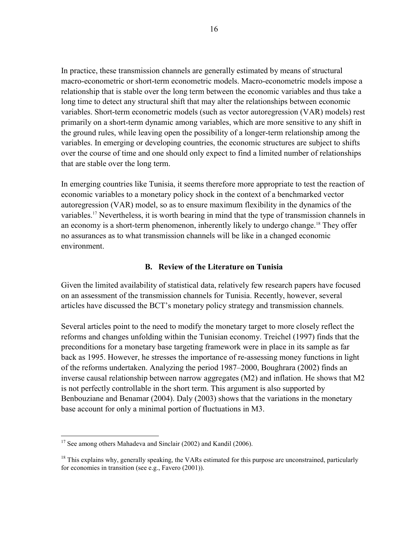In practice, these transmission channels are generally estimated by means of structural macro-econometric or short-term econometric models. Macro-econometric models impose a relationship that is stable over the long term between the economic variables and thus take a long time to detect any structural shift that may alter the relationships between economic variables. Short-term econometric models (such as vector autoregression (VAR) models) rest primarily on a short-term dynamic among variables, which are more sensitive to any shift in the ground rules, while leaving open the possibility of a longer-term relationship among the variables. In emerging or developing countries, the economic structures are subject to shifts over the course of time and one should only expect to find a limited number of relationships that are stable over the long term.

In emerging countries like Tunisia, it seems therefore more appropriate to test the reaction of economic variables to a monetary policy shock in the context of a benchmarked vector autoregression (VAR) model, so as to ensure maximum flexibility in the dynamics of the variables.17 Nevertheless, it is worth bearing in mind that the type of transmission channels in an economy is a short-term phenomenon, inherently likely to undergo change.<sup>18</sup> They offer no assurances as to what transmission channels will be like in a changed economic environment.

#### **B. Review of the Literature on Tunisia**

Given the limited availability of statistical data, relatively few research papers have focused on an assessment of the transmission channels for Tunisia. Recently, however, several articles have discussed the BCT's monetary policy strategy and transmission channels.

Several articles point to the need to modify the monetary target to more closely reflect the reforms and changes unfolding within the Tunisian economy. Treichel (1997) finds that the preconditions for a monetary base targeting framework were in place in its sample as far back as 1995. However, he stresses the importance of re-assessing money functions in light of the reforms undertaken. Analyzing the period 1987–2000, Boughrara (2002) finds an inverse causal relationship between narrow aggregates (M2) and inflation. He shows that M2 is not perfectly controllable in the short term. This argument is also supported by Benbouziane and Benamar (2004). Daly (2003) shows that the variations in the monetary base account for only a minimal portion of fluctuations in M3.

 $17$  See among others Mahadeva and Sinclair (2002) and Kandil (2006).

 $18$  This explains why, generally speaking, the VARs estimated for this purpose are unconstrained, particularly for economies in transition (see e.g., Favero (2001)).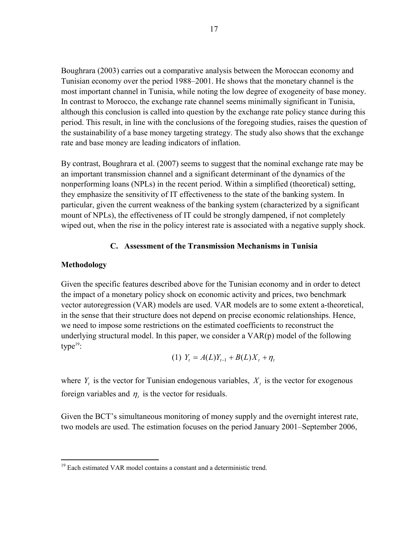Boughrara (2003) carries out a comparative analysis between the Moroccan economy and Tunisian economy over the period 1988–2001. He shows that the monetary channel is the most important channel in Tunisia, while noting the low degree of exogeneity of base money. In contrast to Morocco, the exchange rate channel seems minimally significant in Tunisia, although this conclusion is called into question by the exchange rate policy stance during this period. This result, in line with the conclusions of the foregoing studies, raises the question of the sustainability of a base money targeting strategy. The study also shows that the exchange rate and base money are leading indicators of inflation.

By contrast, Boughrara et al. (2007) seems to suggest that the nominal exchange rate may be an important transmission channel and a significant determinant of the dynamics of the nonperforming loans (NPLs) in the recent period. Within a simplified (theoretical) setting, they emphasize the sensitivity of IT effectiveness to the state of the banking system. In particular, given the current weakness of the banking system (characterized by a significant mount of NPLs), the effectiveness of IT could be strongly dampened, if not completely wiped out, when the rise in the policy interest rate is associated with a negative supply shock.

#### **C. Assessment of the Transmission Mechanisms in Tunisia**

#### **Methodology**

 $\overline{a}$ 

Given the specific features described above for the Tunisian economy and in order to detect the impact of a monetary policy shock on economic activity and prices, two benchmark vector autoregression (VAR) models are used. VAR models are to some extent a-theoretical, in the sense that their structure does not depend on precise economic relationships. Hence, we need to impose some restrictions on the estimated coefficients to reconstruct the underlying structural model. In this paper, we consider a VAR(p) model of the following type $19$ :

(1) 
$$
Y_t = A(L)Y_{t-1} + B(L)X_t + \eta_t
$$

where  $Y_t$  is the vector for Tunisian endogenous variables,  $X_t$  is the vector for exogenous foreign variables and  $\eta_t$  is the vector for residuals.

Given the BCT's simultaneous monitoring of money supply and the overnight interest rate, two models are used. The estimation focuses on the period January 2001–September 2006,

<sup>&</sup>lt;sup>19</sup> Each estimated VAR model contains a constant and a deterministic trend.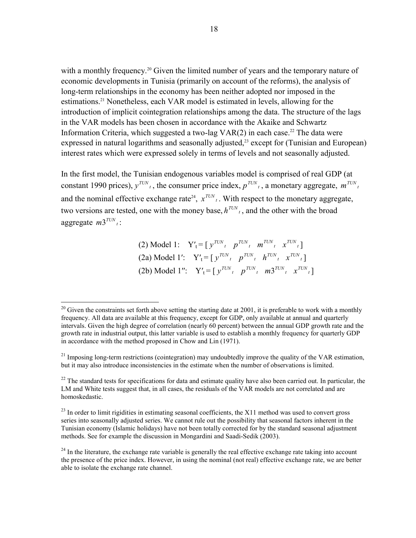with a monthly frequency.<sup>20</sup> Given the limited number of years and the temporary nature of economic developments in Tunisia (primarily on account of the reforms), the analysis of long-term relationships in the economy has been neither adopted nor imposed in the estimations.<sup>21</sup> Nonetheless, each VAR model is estimated in levels, allowing for the introduction of implicit cointegration relationships among the data. The structure of the lags in the VAR models has been chosen in accordance with the Akaike and Schwartz Information Criteria, which suggested a two-lag  $VAR(2)$  in each case.<sup>22</sup> The data were expressed in natural logarithms and seasonally adjusted,<sup>23</sup> except for (Tunisian and European) interest rates which were expressed solely in terms of levels and not seasonally adjusted.

In the first model, the Tunisian endogenous variables model is comprised of real GDP (at constant 1990 prices),  $y^{TUN}$ , the consumer price index,  $p^{TUN}$ , a monetary aggregate,  $m^{TUN}$ , and the nominal effective exchange rate<sup>24</sup>,  $x^{TUN}$ , With respect to the monetary aggregate, two versions are tested, one with the money base,  $h^{TUN}$ , and the other with the broad aggregate  $m3^{TUN}$ <sub>i</sub>:

> $(2) \text{ Model 1:} \quad Y'_t = [y^{TUN}_t, p^{TUN}_t, m^{TUN}_t, x^{TUN}_t]$  $(2a) \text{ Model } 1': \quad Y'_t = [y^{TUN}_t, p^{TUN}_t, h^{TUN}_t, x^{TUN}_t]$  $(2b) \text{ Model } 1''$ :  $Y'_t = [y^{TUN_t} \quad p^{TUN_t} \quad m3^{TUN_t} \quad x^{TUN_t}]$

 $^{20}$  Given the constraints set forth above setting the starting date at 2001, it is preferable to work with a monthly frequency. All data are available at this frequency, except for GDP, only available at annual and quarterly intervals. Given the high degree of correlation (nearly 60 percent) between the annual GDP growth rate and the growth rate in industrial output, this latter variable is used to establish a monthly frequency for quarterly GDP in accordance with the method proposed in Chow and Lin (1971).

<sup>&</sup>lt;sup>21</sup> Imposing long-term restrictions (cointegration) may undoubtedly improve the quality of the VAR estimation, but it may also introduce inconsistencies in the estimate when the number of observations is limited.

 $^{22}$  The standard tests for specifications for data and estimate quality have also been carried out. In particular, the LM and White tests suggest that, in all cases, the residuals of the VAR models are not correlated and are homoskedastic.

<sup>&</sup>lt;sup>23</sup> In order to limit rigidities in estimating seasonal coefficients, the X11 method was used to convert gross series into seasonally adjusted series. We cannot rule out the possibility that seasonal factors inherent in the Tunisian economy (Islamic holidays) have not been totally corrected for by the standard seasonal adjustment methods. See for example the discussion in Mongardini and Saadi-Sedik (2003).

 $^{24}$  In the literature, the exchange rate variable is generally the real effective exchange rate taking into account the presence of the price index. However, in using the nominal (not real) effective exchange rate, we are better able to isolate the exchange rate channel.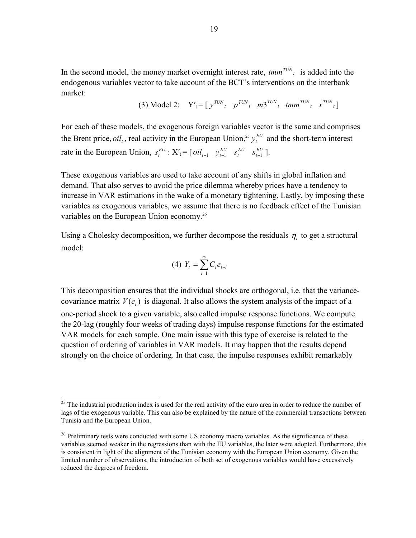In the second model, the money market overnight interest rate,  $tmm^{TUN}$  *i* is added into the endogenous variables vector to take account of the BCT's interventions on the interbank market:

(3) Model 2: 
$$
Y'_t = [y^{TUN}_t, p^{TUN}_t, m3^{TUN}_t, tmm^{TUN}_t, x^{TUN}_t]
$$

For each of these models, the exogenous foreign variables vector is the same and comprises the Brent price,  $oil<sub>t</sub>$ , real activity in the European Union,<sup>25</sup>  $y<sub>t</sub><sup>EU</sup>$  and the short-term interest rate in the European Union,  $s_t^{EU}$  :  $X'_t = [oil_{t-1} \quad y_{t-1}^{EU} \quad s_t^{EU} \quad s_{t-1}^{EU} ]$ .

These exogenous variables are used to take account of any shifts in global inflation and demand. That also serves to avoid the price dilemma whereby prices have a tendency to increase in VAR estimations in the wake of a monetary tightening. Lastly, by imposing these variables as exogenous variables, we assume that there is no feedback effect of the Tunisian variables on the European Union economy.<sup>26</sup>

Using a Cholesky decomposition, we further decompose the residuals  $\eta_t$  to get a structural model:

$$
(4) \ \ Y_{t} = \sum_{i=1}^{\infty} C_{i} e_{t-i}
$$

This decomposition ensures that the individual shocks are orthogonal, i.e. that the variancecovariance matrix  $V(e_t)$  is diagonal. It also allows the system analysis of the impact of a one-period shock to a given variable, also called impulse response functions. We compute the 20-lag (roughly four weeks of trading days) impulse response functions for the estimated VAR models for each sample. One main issue with this type of exercise is related to the question of ordering of variables in VAR models. It may happen that the results depend strongly on the choice of ordering. In that case, the impulse responses exhibit remarkably

 $25$  The industrial production index is used for the real activity of the euro area in order to reduce the number of lags of the exogenous variable. This can also be explained by the nature of the commercial transactions between Tunisia and the European Union.

 $26$  Preliminary tests were conducted with some US economy macro variables. As the significance of these variables seemed weaker in the regressions than with the EU variables, the later were adopted. Furthermore, this is consistent in light of the alignment of the Tunisian economy with the European Union economy. Given the limited number of observations, the introduction of both set of exogenous variables would have excessively reduced the degrees of freedom.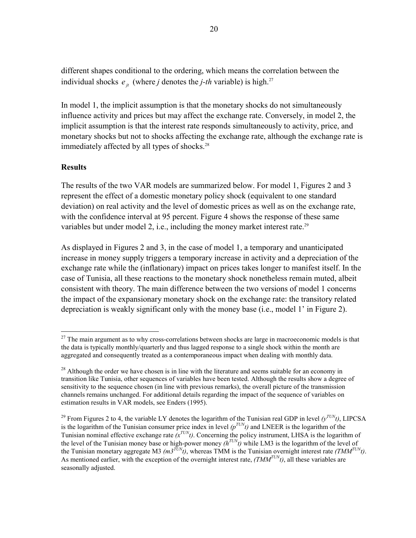different shapes conditional to the ordering, which means the correlation between the individual shocks  $e_{it}$  (where *j* denotes the *j*-th variable) is high.<sup>27</sup>

In model 1, the implicit assumption is that the monetary shocks do not simultaneously influence activity and prices but may affect the exchange rate. Conversely, in model 2, the implicit assumption is that the interest rate responds simultaneously to activity, price, and monetary shocks but not to shocks affecting the exchange rate, although the exchange rate is immediately affected by all types of shocks.<sup>28</sup>

## **Results**

 $\overline{a}$ 

The results of the two VAR models are summarized below. For model 1, Figures 2 and 3 represent the effect of a domestic monetary policy shock (equivalent to one standard deviation) on real activity and the level of domestic prices as well as on the exchange rate, with the confidence interval at 95 percent. Figure 4 shows the response of these same variables but under model 2, i.e., including the money market interest rate.<sup>29</sup>

As displayed in Figures 2 and 3, in the case of model 1, a temporary and unanticipated increase in money supply triggers a temporary increase in activity and a depreciation of the exchange rate while the (inflationary) impact on prices takes longer to manifest itself. In the case of Tunisia, all these reactions to the monetary shock nonetheless remain muted, albeit consistent with theory. The main difference between the two versions of model 1 concerns the impact of the expansionary monetary shock on the exchange rate: the transitory related depreciation is weakly significant only with the money base (i.e., model 1' in Figure 2).

 $27$  The main argument as to why cross-correlations between shocks are large in macroeconomic models is that the data is typically monthly/quarterly and thus lagged response to a single shock within the month are aggregated and consequently treated as a contemporaneous impact when dealing with monthly data.

<sup>&</sup>lt;sup>28</sup> Although the order we have chosen is in line with the literature and seems suitable for an economy in transition like Tunisia, other sequences of variables have been tested. Although the results show a degree of sensitivity to the sequence chosen (in line with previous remarks), the overall picture of the transmission channels remains unchanged. For additional details regarding the impact of the sequence of variables on estimation results in VAR models, see Enders (1995).

<sup>&</sup>lt;sup>29</sup> From Figures 2 to 4, the variable LY denotes the logarithm of the Tunisian real GDP in level  $(y^{TUN}t)$ , LIPCSA From Figures 2 to  $\pi$ , the variable 1.1 denotes the logarithm of the Tunisian consumer price index in level  $(p^{TUN}t)$  and LNEER is the logarithm of the Tunisian nominal effective exchange rate  $(x^{TUN}t)$ . Concerning the policy instrument, LHSA is the logarithm of the level of the Tunisian money base or high-power money  $(h^{TUN}t)$  while LM3 is the logarithm of the level of the Tunisian monetary aggregate M3  $(m3^{TUN}t)$ , whereas TMM is the Tunisian overnight interest rate *(TMM<sup>TUN</sup>t)*. As mentioned earlier, with the exception of the overnight interest rate,  $(TMM^{TUN}t)$ , all these variables are seasonally adjusted.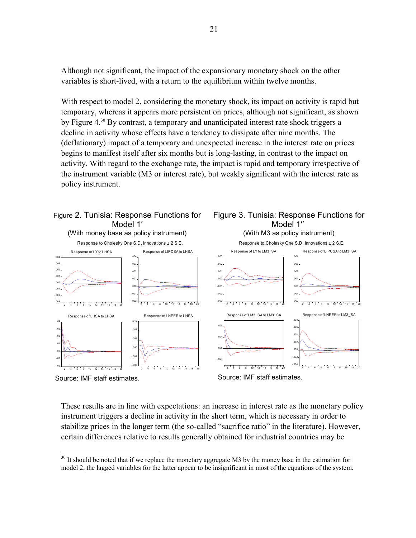Although not significant, the impact of the expansionary monetary shock on the other variables is short-lived, with a return to the equilibrium within twelve months.

With respect to model 2, considering the monetary shock, its impact on activity is rapid but temporary, whereas it appears more persistent on prices, although not significant, as shown by Figure 4.<sup>30</sup> By contrast, a temporary and unanticipated interest rate shock triggers a decline in activity whose effects have a tendency to dissipate after nine months. The (deflationary) impact of a temporary and unexpected increase in the interest rate on prices begins to manifest itself after six months but is long-lasting, in contrast to the impact on activity. With regard to the exchange rate, the impact is rapid and temporary irrespective of the instrument variable (M3 or interest rate), but weakly significant with the interest rate as policy instrument.



These results are in line with expectations: an increase in interest rate as the monetary policy instrument triggers a decline in activity in the short term, which is necessary in order to stabilize prices in the longer term (the so-called "sacrifice ratio" in the literature). However, certain differences relative to results generally obtained for industrial countries may be

 $30$  It should be noted that if we replace the monetary aggregate M3 by the money base in the estimation for model 2, the lagged variables for the latter appear to be insignificant in most of the equations of the system.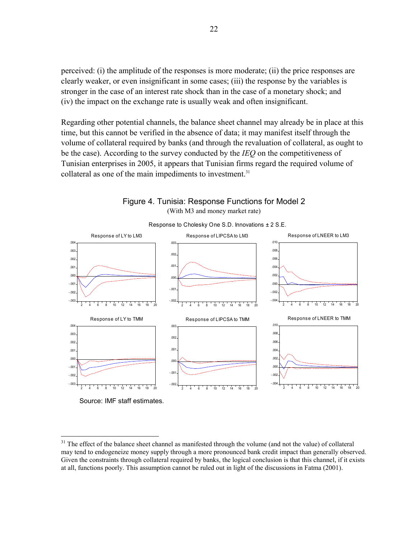perceived: (i) the amplitude of the responses is more moderate; (ii) the price responses are clearly weaker, or even insignificant in some cases; (iii) the response by the variables is stronger in the case of an interest rate shock than in the case of a monetary shock; and (iv) the impact on the exchange rate is usually weak and often insignificant.

Regarding other potential channels, the balance sheet channel may already be in place at this time, but this cannot be verified in the absence of data; it may manifest itself through the volume of collateral required by banks (and through the revaluation of collateral, as ought to be the case). According to the survey conducted by the *IEQ* on the competitiveness of Tunisian enterprises in 2005, it appears that Tunisian firms regard the required volume of collateral as one of the main impediments to investment.<sup>31</sup>



Figure 4. Tunisia: Response Functions for Model 2 (With M3 and money market rate)

Source: IMF staff estimates.

<sup>&</sup>lt;sup>31</sup> The effect of the balance sheet channel as manifested through the volume (and not the value) of collateral may tend to endogeneize money supply through a more pronounced bank credit impact than generally observed. Given the constraints through collateral required by banks, the logical conclusion is that this channel, if it exists at all, functions poorly. This assumption cannot be ruled out in light of the discussions in Fatma (2001).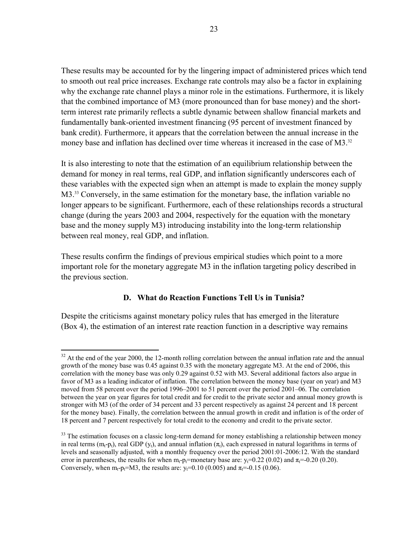These results may be accounted for by the lingering impact of administered prices which tend to smooth out real price increases. Exchange rate controls may also be a factor in explaining why the exchange rate channel plays a minor role in the estimations. Furthermore, it is likely that the combined importance of M3 (more pronounced than for base money) and the shortterm interest rate primarily reflects a subtle dynamic between shallow financial markets and fundamentally bank-oriented investment financing (95 percent of investment financed by bank credit). Furthermore, it appears that the correlation between the annual increase in the money base and inflation has declined over time whereas it increased in the case of M3.<sup>32</sup>

It is also interesting to note that the estimation of an equilibrium relationship between the demand for money in real terms, real GDP, and inflation significantly underscores each of these variables with the expected sign when an attempt is made to explain the money supply M3.<sup>33</sup> Conversely, in the same estimation for the monetary base, the inflation variable no longer appears to be significant. Furthermore, each of these relationships records a structural change (during the years 2003 and 2004, respectively for the equation with the monetary base and the money supply M3) introducing instability into the long-term relationship between real money, real GDP, and inflation.

These results confirm the findings of previous empirical studies which point to a more important role for the monetary aggregate M3 in the inflation targeting policy described in the previous section.

## **D. What do Reaction Functions Tell Us in Tunisia?**

Despite the criticisms against monetary policy rules that has emerged in the literature (Box 4), the estimation of an interest rate reaction function in a descriptive way remains

 $\overline{a}$  $32$  At the end of the year 2000, the 12-month rolling correlation between the annual inflation rate and the annual growth of the money base was 0.45 against 0.35 with the monetary aggregate M3. At the end of 2006, this correlation with the money base was only 0.29 against 0.52 with M3. Several additional factors also argue in favor of M3 as a leading indicator of inflation. The correlation between the money base (year on year) and M3 moved from 58 percent over the period 1996–2001 to 51 percent over the period 2001–06. The correlation between the year on year figures for total credit and for credit to the private sector and annual money growth is stronger with M3 (of the order of 34 percent and 33 percent respectively as against 24 percent and 18 percent for the money base). Finally, the correlation between the annual growth in credit and inflation is of the order of 18 percent and 7 percent respectively for total credit to the economy and credit to the private sector.

<sup>&</sup>lt;sup>33</sup> The estimation focuses on a classic long-term demand for money establishing a relationship between money in real terms  $(m_t-p_t)$ , real GDP  $(y_t)$ , and annual inflation  $(\pi_t)$ , each expressed in natural logarithms in terms of levels and seasonally adjusted, with a monthly frequency over the period 2001:01-2006:12. With the standard error in parentheses, the results for when  $m_t$ -p<sub>t</sub>=monetary base are:  $y_t$ =0.22 (0.02) and  $\pi$ <sub>t</sub>=-0.20 (0.20). Conversely, when m<sub>t</sub>-p<sub>t</sub>=M3, the results are: y<sub>t</sub>=0.10 (0.005) and  $\pi$ <sub>t</sub>=-0.15 (0.06).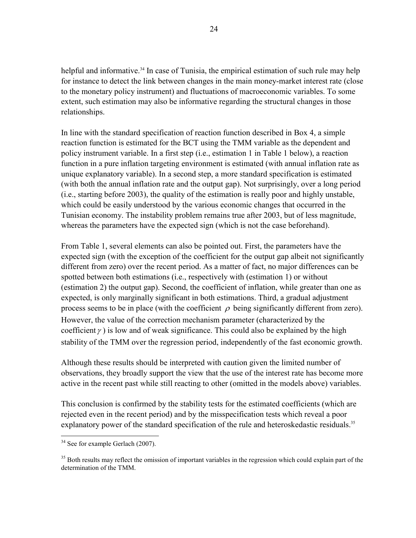helpful and informative.<sup>34</sup> In case of Tunisia, the empirical estimation of such rule may help for instance to detect the link between changes in the main money-market interest rate (close to the monetary policy instrument) and fluctuations of macroeconomic variables. To some extent, such estimation may also be informative regarding the structural changes in those relationships.

In line with the standard specification of reaction function described in Box 4, a simple reaction function is estimated for the BCT using the TMM variable as the dependent and policy instrument variable. In a first step (i.e., estimation 1 in Table 1 below), a reaction function in a pure inflation targeting environment is estimated (with annual inflation rate as unique explanatory variable). In a second step, a more standard specification is estimated (with both the annual inflation rate and the output gap). Not surprisingly, over a long period (i.e., starting before 2003), the quality of the estimation is really poor and highly unstable, which could be easily understood by the various economic changes that occurred in the Tunisian economy. The instability problem remains true after 2003, but of less magnitude, whereas the parameters have the expected sign (which is not the case beforehand).

From Table 1, several elements can also be pointed out. First, the parameters have the expected sign (with the exception of the coefficient for the output gap albeit not significantly different from zero) over the recent period. As a matter of fact, no major differences can be spotted between both estimations (i.e., respectively with (estimation 1) or without (estimation 2) the output gap). Second, the coefficient of inflation, while greater than one as expected, is only marginally significant in both estimations. Third, a gradual adjustment process seems to be in place (with the coefficient  $\rho$  being significantly different from zero). However, the value of the correction mechanism parameter (characterized by the coefficient  $\gamma$ ) is low and of weak significance. This could also be explained by the high stability of the TMM over the regression period, independently of the fast economic growth.

Although these results should be interpreted with caution given the limited number of observations, they broadly support the view that the use of the interest rate has become more active in the recent past while still reacting to other (omitted in the models above) variables.

This conclusion is confirmed by the stability tests for the estimated coefficients (which are rejected even in the recent period) and by the misspecification tests which reveal a poor explanatory power of the standard specification of the rule and heteroskedastic residuals.<sup>35</sup>

<sup>&</sup>lt;sup>34</sup> See for example Gerlach (2007).

<sup>&</sup>lt;sup>35</sup> Both results may reflect the omission of important variables in the regression which could explain part of the determination of the TMM.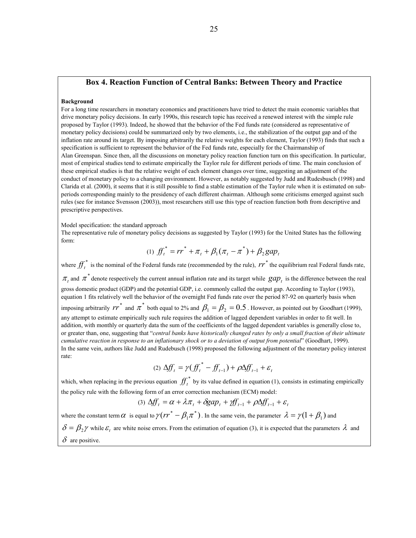#### **Box 4. Reaction Function of Central Banks: Between Theory and Practice**

#### **Background**

For a long time researchers in monetary economics and practitioners have tried to detect the main economic variables that drive monetary policy decisions. In early 1990s, this research topic has received a renewed interest with the simple rule proposed by Taylor (1993). Indeed, he showed that the behavior of the Fed funds rate (considered as representative of monetary policy decisions) could be summarized only by two elements, i.e., the stabilization of the output gap and of the inflation rate around its target. By imposing arbitrarily the relative weights for each element, Taylor (1993) finds that such a specification is sufficient to represent the behavior of the Fed funds rate, especially for the Chairmanship of Alan Greenspan. Since then, all the discussions on monetary policy reaction function turn on this specification. In particular, most of empirical studies tend to estimate empirically the Taylor rule for different periods of time. The main conclusion of these empirical studies is that the relative weight of each element changes over time, suggesting an adjustment of the conduct of monetary policy to a changing environment. However, as notably suggested by Judd and Rudesbusch (1998) and Clarida et al. (2000), it seems that it is still possible to find a stable estimation of the Taylor rule when it is estimated on subperiods corresponding mainly to the presidency of each different chairman. Although some criticisms emerged against such rules (see for instance Svensson (2003)), most researchers still use this type of reaction function both from descriptive and prescriptive perspectives.

Model specification: the standard approach

The representative rule of monetary policy decisions as suggested by Taylor (1993) for the United States has the following form:

$$
(1) \ \mathcal{f}^{*}_{t} = rr^{*} + \pi_{t} + \beta_{1}(\pi_{t} - \pi^{*}) + \beta_{2}gap_{t}
$$

where  $f f_t^*$  is the nominal of the Federal funds rate (recommended by the rule),  $r r^*$  the equilibrium real Federal funds rate,  $\pi$ , and  $\pi^*$  denote respectively the current annual inflation rate and its target while  $gap_t$  is the difference between the real gross domestic product (GDP) and the potential GDP, i.e. commonly called the output gap. According to Taylor (1993), equation 1 fits relatively well the behavior of the overnight Fed funds rate over the period 87-92 on quarterly basis when imposing arbitrarily  $rr^*$  and  $\pi^*$  both equal to 2% and  $\beta_1 = \beta_2 = 0.5$ . However, as pointed out by Goodhart (1999), any attempt to estimate empirically such rule requires the addition of lagged dependent variables in order to fit well. In addition, with monthly or quarterly data the sum of the coefficients of the lagged dependent variables is generally close to, or greater than, one, suggesting that "*central banks have historically changed rates by only a small fraction of their ultimate cumulative reaction in response to an inflationary shock or to a deviation of output from potential*" (Goodhart, 1999). In the same vein, authors like Judd and Rudebusch (1998) proposed the following adjustment of the monetary policy interest rate:

$$
(2) \Delta f f_t = \gamma (f f_t^* - f f_{t-1}) + \rho \Delta f f_{t-1} + \varepsilon_t
$$

which, when replacing in the previous equation  $f f_t^*$  by its value defined in equation (1), consists in estimating empirically the policy rule with the following form of an error correction mechanism (ECM) model:

$$
(3) \Delta f_t = \alpha + \lambda \pi_t + \delta g a p_t + f f_{t-1} + \rho \Delta f f_{t-1} + \varepsilon_t
$$

where the constant term  $\alpha$  is equal to  $\gamma (rr^* - \beta_1 \pi^*)$  $\gamma (rr^* - \beta_1 \pi^*)$ . In the same vein, the parameter  $\lambda = \gamma (1 + \beta_1)$  and  $\delta = \beta_2 \gamma$  while  $\varepsilon_t$  are white noise errors. From the estimation of equation (3), it is expected that the parameters  $\lambda$  and  $\delta$  are positive.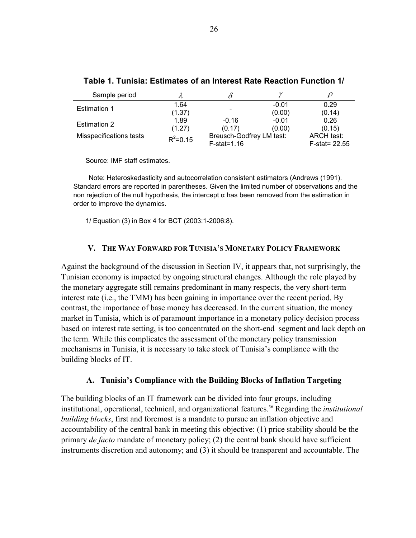| Sample period           |              |                          |         |                     |
|-------------------------|--------------|--------------------------|---------|---------------------|
| <b>Estimation 1</b>     | 1.64         |                          | $-0.01$ | 0.29                |
|                         | (1.37)       |                          | (0.00)  | (0.14)              |
| <b>Estimation 2</b>     | 1.89         | $-0.16$                  | $-0.01$ | 0.26                |
|                         | (1.27)       | (0.17)                   | (0.00)  | (0.15)              |
| Misspecifications tests | $R^2 = 0.15$ | Breusch-Godfrey LM test: |         | ARCH test:          |
|                         |              | $F-stat=1.16$            |         | $F - state = 22.55$ |

#### **Table 1. Tunisia: Estimates of an Interest Rate Reaction Function 1/**

Source: IMF staff estimates.

Note: Heteroskedasticity and autocorrelation consistent estimators (Andrews (1991). Standard errors are reported in parentheses. Given the limited number of observations and the non rejection of the null hypothesis, the intercept α has been removed from the estimation in order to improve the dynamics.

1/ Equation (3) in Box 4 for BCT (2003:1-2006:8).

## **V. THE WAY FORWARD FOR TUNISIA'S MONETARY POLICY FRAMEWORK**

Against the background of the discussion in Section IV, it appears that, not surprisingly, the Tunisian economy is impacted by ongoing structural changes. Although the role played by the monetary aggregate still remains predominant in many respects, the very short-term interest rate (i.e., the TMM) has been gaining in importance over the recent period. By contrast, the importance of base money has decreased. In the current situation, the money market in Tunisia, which is of paramount importance in a monetary policy decision process based on interest rate setting, is too concentrated on the short-end segment and lack depth on the term. While this complicates the assessment of the monetary policy transmission mechanisms in Tunisia, it is necessary to take stock of Tunisia's compliance with the building blocks of IT.

## **A. Tunisia's Compliance with the Building Blocks of Inflation Targeting**

The building blocks of an IT framework can be divided into four groups, including institutional, operational, technical, and organizational features.<sup>36</sup> Regarding the *institutional building blocks*, first and foremost is a mandate to pursue an inflation objective and accountability of the central bank in meeting this objective: (1) price stability should be the primary *de facto* mandate of monetary policy; (2) the central bank should have sufficient instruments discretion and autonomy; and (3) it should be transparent and accountable. The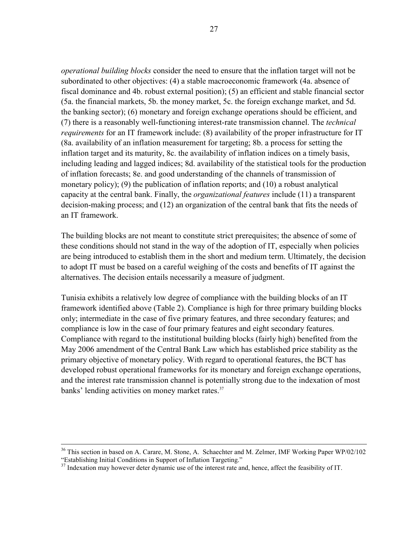*operational building blocks* consider the need to ensure that the inflation target will not be subordinated to other objectives: (4) a stable macroeconomic framework (4a. absence of fiscal dominance and 4b. robust external position); (5) an efficient and stable financial sector (5a. the financial markets, 5b. the money market, 5c. the foreign exchange market, and 5d. the banking sector); (6) monetary and foreign exchange operations should be efficient, and (7) there is a reasonably well-functioning interest-rate transmission channel. The *technical requirements* for an IT framework include: (8) availability of the proper infrastructure for IT (8a. availability of an inflation measurement for targeting; 8b. a process for setting the inflation target and its maturity, 8c. the availability of inflation indices on a timely basis, including leading and lagged indices; 8d. availability of the statistical tools for the production of inflation forecasts; 8e. and good understanding of the channels of transmission of monetary policy); (9) the publication of inflation reports; and (10) a robust analytical capacity at the central bank. Finally, the *organizational features* include (11) a transparent decision-making process; and (12) an organization of the central bank that fits the needs of an IT framework.

The building blocks are not meant to constitute strict prerequisites; the absence of some of these conditions should not stand in the way of the adoption of IT, especially when policies are being introduced to establish them in the short and medium term. Ultimately, the decision to adopt IT must be based on a careful weighing of the costs and benefits of IT against the alternatives. The decision entails necessarily a measure of judgment.

Tunisia exhibits a relatively low degree of compliance with the building blocks of an IT framework identified above (Table 2). Compliance is high for three primary building blocks only; intermediate in the case of five primary features, and three secondary features; and compliance is low in the case of four primary features and eight secondary features. Compliance with regard to the institutional building blocks (fairly high) benefited from the May 2006 amendment of the Central Bank Law which has established price stability as the primary objective of monetary policy. With regard to operational features, the BCT has developed robust operational frameworks for its monetary and foreign exchange operations, and the interest rate transmission channel is potentially strong due to the indexation of most banks' lending activities on money market rates.<sup>37</sup>

<sup>&</sup>lt;sup>36</sup> This section in based on A. Carare, M. Stone, A. Schaechter and M. Zelmer, IMF Working Paper WP/02/102 "Establishing Initial Conditions in Support of Inflation Targeting."

<sup>&</sup>lt;sup>37</sup> Indexation may however deter dynamic use of the interest rate and, hence, affect the feasibility of IT.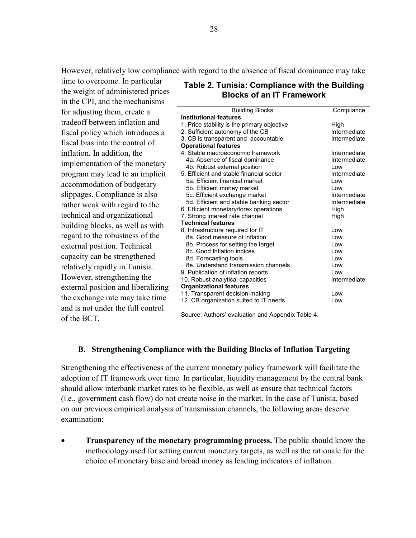However, relatively low compliance with regard to the absence of fiscal dominance may take

time to overcome. In particular the weight of administered prices in the CPI, and the mechanisms for adjusting them, create a tradeoff between inflation and fiscal policy which introduces a fiscal bias into the control of inflation. In addition, the implementation of the monetary program may lead to an implicit accommodation of budgetary slippages. Compliance is also rather weak with regard to the technical and organizational building blocks, as well as with regard to the robustness of the external position. Technical capacity can be strengthened relatively rapidly in Tunisia. However, strengthening the external position and liberalizing the exchange rate may take time and is not under the full control of the BCT.

## **Table 2. Tunisia: Compliance with the Building Blocks of an IT Framework**

| <b>Building Blocks</b>                      | Compliance   |
|---------------------------------------------|--------------|
| <b>Institutional features</b>               |              |
| 1. Price stability is the primary objective | High         |
| 2. Sufficient autonomy of the CB            | Intermediate |
| 3. CB is transparent and accountable        | Intermediate |
| <b>Operational features</b>                 |              |
| 4. Stable macroeconomic framework           | Intermediate |
| 4a. Absence of fiscal dominance             | Intermediate |
| 4b. Robust external position                | l ow         |
| 5. Efficient and stable financial sector    | Intermediate |
| 5a. Efficient financial market              | l ow         |
| 5b. Efficient money market                  | l ow         |
| 5c. Efficient exchange market               | Intermediate |
| 5d. Efficient and stable banking sector     | Intermediate |
| 6. Efficient monetary/forex operations      | High         |
| 7. Strong interest rate channel             | High         |
| <b>Technical features</b>                   |              |
| 8. Infrastructure required for IT           | l ow         |
| 8a. Good measure of inflation               | l ow         |
| 8b. Process for setting the target          | Low          |
| 8c. Good Inflation indices                  | l ow         |
| 8d. Forecasting tools                       | l ow         |
| 8e. Understand transmission channels        | Low          |
| 9. Publication of inflation reports         | l ow         |
| 10. Robust analytical capacities            | Intermediate |
| <b>Organizational features</b>              |              |
| 11. Transparent decision-making             | Low          |
| 12. CB organization suited to IT needs      | Low          |

Source: Authors' evaluation and Appendix Table 4.

#### **B. Strengthening Compliance with the Building Blocks of Inflation Targeting**

Strengthening the effectiveness of the current monetary policy framework will facilitate the adoption of IT framework over time. In particular, liquidity management by the central bank should allow interbank market rates to be flexible, as well as ensure that technical factors (i.e., government cash flow) do not create noise in the market. In the case of Tunisia, based on our previous empirical analysis of transmission channels, the following areas deserve examination:

• **Transparency of the monetary programming process.** The public should know the methodology used for setting current monetary targets, as well as the rationale for the choice of monetary base and broad money as leading indicators of inflation.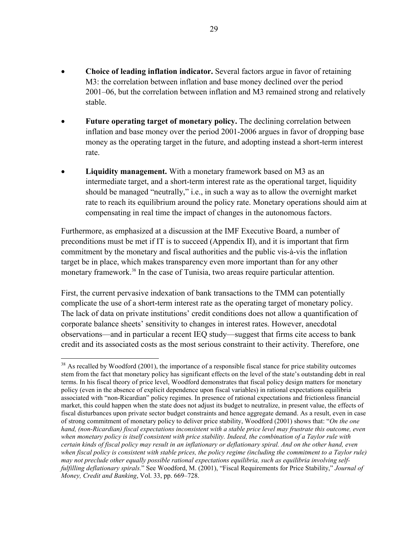- **Choice of leading inflation indicator.** Several factors argue in favor of retaining M3: the correlation between inflation and base money declined over the period 2001–06, but the correlation between inflation and M3 remained strong and relatively stable.
- **Future operating target of monetary policy.** The declining correlation between inflation and base money over the period 2001-2006 argues in favor of dropping base money as the operating target in the future, and adopting instead a short-term interest rate.
- **Liquidity management.** With a monetary framework based on M3 as an intermediate target, and a short-term interest rate as the operational target, liquidity should be managed "neutrally," i.e., in such a way as to allow the overnight market rate to reach its equilibrium around the policy rate. Monetary operations should aim at compensating in real time the impact of changes in the autonomous factors.

Furthermore, as emphasized at a discussion at the IMF Executive Board, a number of preconditions must be met if IT is to succeed (Appendix II), and it is important that firm commitment by the monetary and fiscal authorities and the public vis-à-vis the inflation target be in place, which makes transparency even more important than for any other monetary framework.<sup>38</sup> In the case of Tunisia, two areas require particular attention.

First, the current pervasive indexation of bank transactions to the TMM can potentially complicate the use of a short-term interest rate as the operating target of monetary policy. The lack of data on private institutions' credit conditions does not allow a quantification of corporate balance sheets' sensitivity to changes in interest rates. However, anecdotal observations—and in particular a recent IEQ study—suggest that firms cite access to bank credit and its associated costs as the most serious constraint to their activity. Therefore, one

<sup>&</sup>lt;sup>38</sup> As recalled by Woodford (2001), the importance of a responsible fiscal stance for price stability outcomes stem from the fact that monetary policy has significant effects on the level of the state's outstanding debt in real terms. In his fiscal theory of price level, Woodford demonstrates that fiscal policy design matters for monetary policy (even in the absence of explicit dependence upon fiscal variables) in rational expectations equilibria associated with "non-Ricardian" policy regimes. In presence of rational expectations and frictionless financial market, this could happen when the state does not adjust its budget to neutralize, in present value, the effects of fiscal disturbances upon private sector budget constraints and hence aggregate demand. As a result, even in case of strong commitment of monetary policy to deliver price stability, Woodford (2001) shows that: "*On the one hand, (non-Ricardian) fiscal expectations inconsistent with a stable price level may frustrate this outcome, even when monetary policy is itself consistent with price stability. Indeed, the combination of a Taylor rule with certain kinds of fiscal policy may result in an inflationary or deflationary spiral. And on the other hand, even when fiscal policy is consistent with stable prices, the policy regime (including the commitment to a Taylor rule) may not preclude other equally possible rational expectations equilibria, such as equilibria involving selffulfilling deflationary spirals.*" See Woodford, M. (2001), "Fiscal Requirements for Price Stability," *Journal of Money, Credit and Banking*, Vol. 33, pp. 669–728.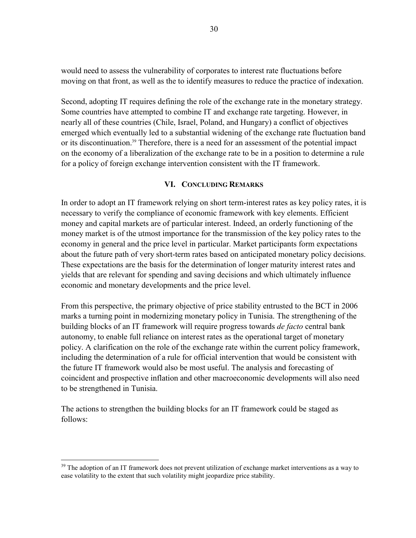would need to assess the vulnerability of corporates to interest rate fluctuations before moving on that front, as well as the to identify measures to reduce the practice of indexation.

Second, adopting IT requires defining the role of the exchange rate in the monetary strategy. Some countries have attempted to combine IT and exchange rate targeting. However, in nearly all of these countries (Chile, Israel, Poland, and Hungary) a conflict of objectives emerged which eventually led to a substantial widening of the exchange rate fluctuation band or its discontinuation.<sup>39</sup> Therefore, there is a need for an assessment of the potential impact on the economy of a liberalization of the exchange rate to be in a position to determine a rule for a policy of foreign exchange intervention consistent with the IT framework.

#### **VI. CONCLUDING REMARKS**

In order to adopt an IT framework relying on short term-interest rates as key policy rates, it is necessary to verify the compliance of economic framework with key elements. Efficient money and capital markets are of particular interest. Indeed, an orderly functioning of the money market is of the utmost importance for the transmission of the key policy rates to the economy in general and the price level in particular. Market participants form expectations about the future path of very short-term rates based on anticipated monetary policy decisions. These expectations are the basis for the determination of longer maturity interest rates and yields that are relevant for spending and saving decisions and which ultimately influence economic and monetary developments and the price level.

From this perspective, the primary objective of price stability entrusted to the BCT in 2006 marks a turning point in modernizing monetary policy in Tunisia. The strengthening of the building blocks of an IT framework will require progress towards *de facto* central bank autonomy, to enable full reliance on interest rates as the operational target of monetary policy. A clarification on the role of the exchange rate within the current policy framework, including the determination of a rule for official intervention that would be consistent with the future IT framework would also be most useful. The analysis and forecasting of coincident and prospective inflation and other macroeconomic developments will also need to be strengthened in Tunisia.

The actions to strengthen the building blocks for an IT framework could be staged as follows:

<u>.</u>

 $39$  The adoption of an IT framework does not prevent utilization of exchange market interventions as a way to ease volatility to the extent that such volatility might jeopardize price stability.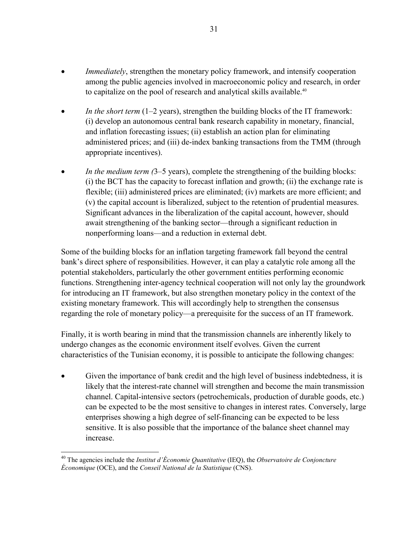- *Immediately*, strengthen the monetary policy framework, and intensify cooperation among the public agencies involved in macroeconomic policy and research, in order to capitalize on the pool of research and analytical skills available.<sup>40</sup>
- *In the short term* (1–2 years), strengthen the building blocks of the IT framework: (i) develop an autonomous central bank research capability in monetary, financial, and inflation forecasting issues; (ii) establish an action plan for eliminating administered prices; and (iii) de-index banking transactions from the TMM (through appropriate incentives).
- *In the medium term (3–5 years), complete the strengthening of the building blocks:* (i) the BCT has the capacity to forecast inflation and growth; (ii) the exchange rate is flexible; (iii) administered prices are eliminated; (iv) markets are more efficient; and (v) the capital account is liberalized, subject to the retention of prudential measures. Significant advances in the liberalization of the capital account, however, should await strengthening of the banking sector—through a significant reduction in nonperforming loans—and a reduction in external debt.

Some of the building blocks for an inflation targeting framework fall beyond the central bank's direct sphere of responsibilities. However, it can play a catalytic role among all the potential stakeholders, particularly the other government entities performing economic functions. Strengthening inter-agency technical cooperation will not only lay the groundwork for introducing an IT framework, but also strengthen monetary policy in the context of the existing monetary framework. This will accordingly help to strengthen the consensus regarding the role of monetary policy—a prerequisite for the success of an IT framework.

Finally, it is worth bearing in mind that the transmission channels are inherently likely to undergo changes as the economic environment itself evolves. Given the current characteristics of the Tunisian economy, it is possible to anticipate the following changes:

Given the importance of bank credit and the high level of business indebtedness, it is likely that the interest-rate channel will strengthen and become the main transmission channel. Capital-intensive sectors (petrochemicals, production of durable goods, etc.) can be expected to be the most sensitive to changes in interest rates. Conversely, large enterprises showing a high degree of self-financing can be expected to be less sensitive. It is also possible that the importance of the balance sheet channel may increase.

<sup>40</sup> The agencies include the *Institut d'Économie Quantitative* (IEQ), the *Observatoire de Conjoncture Économique* (OCE), and the *Conseil National de la Statistique* (CNS).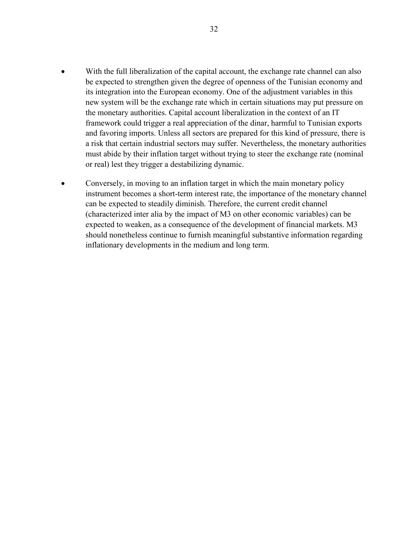- With the full liberalization of the capital account, the exchange rate channel can also be expected to strengthen given the degree of openness of the Tunisian economy and its integration into the European economy. One of the adjustment variables in this new system will be the exchange rate which in certain situations may put pressure on the monetary authorities. Capital account liberalization in the context of an IT framework could trigger a real appreciation of the dinar, harmful to Tunisian exports and favoring imports. Unless all sectors are prepared for this kind of pressure, there is a risk that certain industrial sectors may suffer. Nevertheless, the monetary authorities must abide by their inflation target without trying to steer the exchange rate (nominal or real) lest they trigger a destabilizing dynamic.
- Conversely, in moving to an inflation target in which the main monetary policy instrument becomes a short-term interest rate, the importance of the monetary channel can be expected to steadily diminish. Therefore, the current credit channel (characterized inter alia by the impact of M3 on other economic variables) can be expected to weaken, as a consequence of the development of financial markets. M3 should nonetheless continue to furnish meaningful substantive information regarding inflationary developments in the medium and long term.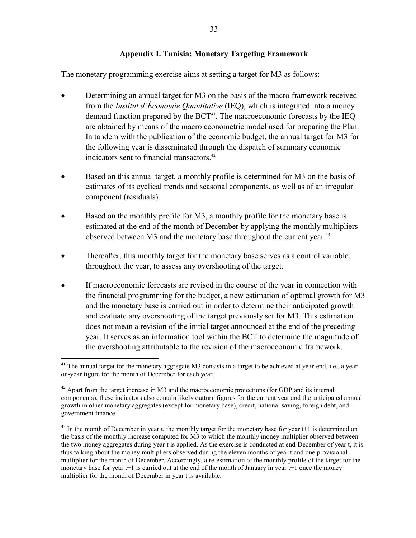#### **Appendix I. Tunisia: Monetary Targeting Framework**

The monetary programming exercise aims at setting a target for M3 as follows:

- Determining an annual target for M3 on the basis of the macro framework received from the *Institut d'Économie Quantitative* (IEQ), which is integrated into a money demand function prepared by the  $BCT<sup>41</sup>$ . The macroeconomic forecasts by the IEQ are obtained by means of the macro econometric model used for preparing the Plan. In tandem with the publication of the economic budget, the annual target for M3 for the following year is disseminated through the dispatch of summary economic indicators sent to financial transactors.<sup>42</sup>
- Based on this annual target, a monthly profile is determined for M3 on the basis of estimates of its cyclical trends and seasonal components, as well as of an irregular component (residuals).
- Based on the monthly profile for M3, a monthly profile for the monetary base is estimated at the end of the month of December by applying the monthly multipliers observed between M3 and the monetary base throughout the current year.<sup>43</sup>
- Thereafter, this monthly target for the monetary base serves as a control variable, throughout the year, to assess any overshooting of the target.
- If macroeconomic forecasts are revised in the course of the year in connection with the financial programming for the budget, a new estimation of optimal growth for M3 and the monetary base is carried out in order to determine their anticipated growth and evaluate any overshooting of the target previously set for M3. This estimation does not mean a revision of the initial target announced at the end of the preceding year. It serves as an information tool within the BCT to determine the magnitude of the overshooting attributable to the revision of the macroeconomic framework.

<sup>&</sup>lt;sup>41</sup> The annual target for the monetary aggregate M3 consists in a target to be achieved at year-end, i.e., a yearon-year figure for the month of December for each year.

 $42$  Apart from the target increase in M3 and the macroeconomic projections (for GDP and its internal components), these indicators also contain likely outturn figures for the current year and the anticipated annual growth in other monetary aggregates (except for monetary base), credit, national saving, foreign debt, and government finance.

 $43$  In the month of December in year t, the monthly target for the monetary base for year t+1 is determined on the basis of the monthly increase computed for M3 to which the monthly money multiplier observed between the two money aggregates during year t is applied. As the exercise is conducted at end-December of year t, it is thus talking about the money multipliers observed during the eleven months of year t and one provisional multiplier for the month of December. Accordingly, a re-estimation of the monthly profile of the target for the monetary base for year t+1 is carried out at the end of the month of January in year t+1 once the money multiplier for the month of December in year t is available.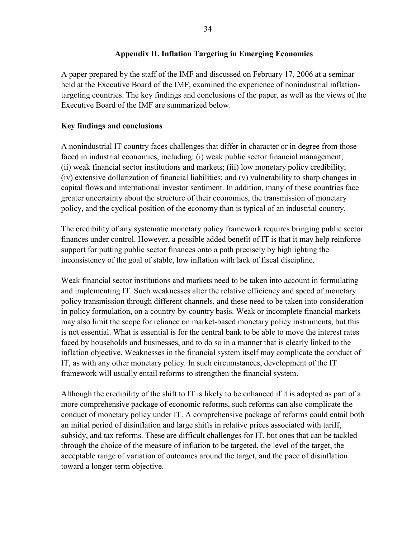## **Appendix II. Inflation Targeting in Emerging Economies**

A paper prepared by the staff of the IMF and discussed on February 17, 2006 at a seminar held at the Executive Board of the IMF, examined the experience of nonindustrial inflationtargeting countries. The key findings and conclusions of the paper, as well as the views of the Executive Board of the IMF are summarized below.

## **Key findings and conclusions**

A nonindustrial IT country faces challenges that differ in character or in degree from those faced in industrial economies, including: (i) weak public sector financial management; (ii) weak financial sector institutions and markets; (iii) low monetary policy credibility; (iv) extensive dollarization of financial liabilities; and (v) vulnerability to sharp changes in capital flows and international investor sentiment. In addition, many of these countries face greater uncertainty about the structure of their economies, the transmission of monetary policy, and the cyclical position of the economy than is typical of an industrial country.

The credibility of any systematic monetary policy framework requires bringing public sector finances under control. However, a possible added benefit of IT is that it may help reinforce support for putting public sector finances onto a path precisely by highlighting the inconsistency of the goal of stable, low inflation with lack of fiscal discipline.

Weak financial sector institutions and markets need to be taken into account in formulating and implementing IT. Such weaknesses alter the relative efficiency and speed of monetary policy transmission through different channels, and these need to be taken into consideration in policy formulation, on a country-by-country basis. Weak or incomplete financial markets may also limit the scope for reliance on market-based monetary policy instruments, but this is not essential. What is essential is for the central bank to be able to move the interest rates faced by households and businesses, and to do so in a manner that is clearly linked to the inflation objective. Weaknesses in the financial system itself may complicate the conduct of IT, as with any other monetary policy. In such circumstances, development of the IT framework will usually entail reforms to strengthen the financial system.

Although the credibility of the shift to IT is likely to be enhanced if it is adopted as part of a more comprehensive package of economic reforms, such reforms can also complicate the conduct of monetary policy under IT. A comprehensive package of reforms could entail both an initial period of disinflation and large shifts in relative prices associated with tariff, subsidy, and tax reforms. These are difficult challenges for IT, but ones that can be tackled through the choice of the measure of inflation to be targeted, the level of the target, the acceptable range of variation of outcomes around the target, and the pace of disinflation toward a longer-term objective.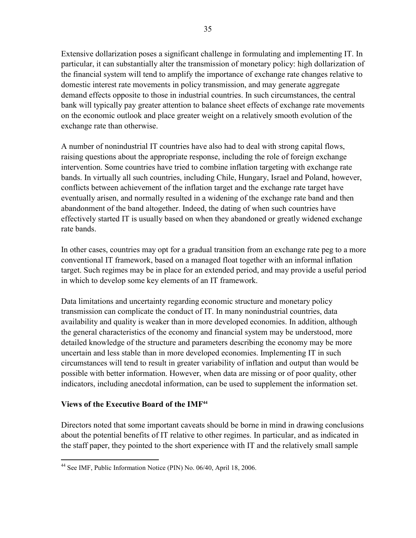Extensive dollarization poses a significant challenge in formulating and implementing IT. In particular, it can substantially alter the transmission of monetary policy: high dollarization of the financial system will tend to amplify the importance of exchange rate changes relative to domestic interest rate movements in policy transmission, and may generate aggregate demand effects opposite to those in industrial countries. In such circumstances, the central bank will typically pay greater attention to balance sheet effects of exchange rate movements on the economic outlook and place greater weight on a relatively smooth evolution of the exchange rate than otherwise.

A number of nonindustrial IT countries have also had to deal with strong capital flows, raising questions about the appropriate response, including the role of foreign exchange intervention. Some countries have tried to combine inflation targeting with exchange rate bands. In virtually all such countries, including Chile, Hungary, Israel and Poland, however, conflicts between achievement of the inflation target and the exchange rate target have eventually arisen, and normally resulted in a widening of the exchange rate band and then abandonment of the band altogether. Indeed, the dating of when such countries have effectively started IT is usually based on when they abandoned or greatly widened exchange rate bands.

In other cases, countries may opt for a gradual transition from an exchange rate peg to a more conventional IT framework, based on a managed float together with an informal inflation target. Such regimes may be in place for an extended period, and may provide a useful period in which to develop some key elements of an IT framework.

Data limitations and uncertainty regarding economic structure and monetary policy transmission can complicate the conduct of IT. In many nonindustrial countries, data availability and quality is weaker than in more developed economies. In addition, although the general characteristics of the economy and financial system may be understood, more detailed knowledge of the structure and parameters describing the economy may be more uncertain and less stable than in more developed economies. Implementing IT in such circumstances will tend to result in greater variability of inflation and output than would be possible with better information. However, when data are missing or of poor quality, other indicators, including anecdotal information, can be used to supplement the information set.

## **Views of the Executive Board of the IMF44**

Directors noted that some important caveats should be borne in mind in drawing conclusions about the potential benefits of IT relative to other regimes. In particular, and as indicated in the staff paper, they pointed to the short experience with IT and the relatively small sample

 $\overline{a}$ <sup>44</sup> See IMF, Public Information Notice (PIN) No. 06/40, April 18, 2006.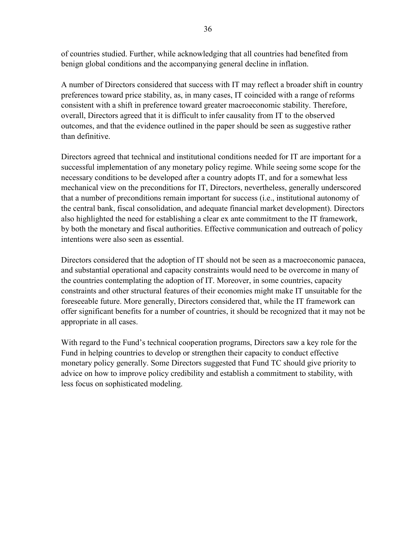of countries studied. Further, while acknowledging that all countries had benefited from benign global conditions and the accompanying general decline in inflation.

A number of Directors considered that success with IT may reflect a broader shift in country preferences toward price stability, as, in many cases, IT coincided with a range of reforms consistent with a shift in preference toward greater macroeconomic stability. Therefore, overall, Directors agreed that it is difficult to infer causality from IT to the observed outcomes, and that the evidence outlined in the paper should be seen as suggestive rather than definitive.

Directors agreed that technical and institutional conditions needed for IT are important for a successful implementation of any monetary policy regime. While seeing some scope for the necessary conditions to be developed after a country adopts IT, and for a somewhat less mechanical view on the preconditions for IT, Directors, nevertheless, generally underscored that a number of preconditions remain important for success (i.e., institutional autonomy of the central bank, fiscal consolidation, and adequate financial market development). Directors also highlighted the need for establishing a clear ex ante commitment to the IT framework, by both the monetary and fiscal authorities. Effective communication and outreach of policy intentions were also seen as essential.

Directors considered that the adoption of IT should not be seen as a macroeconomic panacea, and substantial operational and capacity constraints would need to be overcome in many of the countries contemplating the adoption of IT. Moreover, in some countries, capacity constraints and other structural features of their economies might make IT unsuitable for the foreseeable future. More generally, Directors considered that, while the IT framework can offer significant benefits for a number of countries, it should be recognized that it may not be appropriate in all cases.

With regard to the Fund's technical cooperation programs, Directors saw a key role for the Fund in helping countries to develop or strengthen their capacity to conduct effective monetary policy generally. Some Directors suggested that Fund TC should give priority to advice on how to improve policy credibility and establish a commitment to stability, with less focus on sophisticated modeling.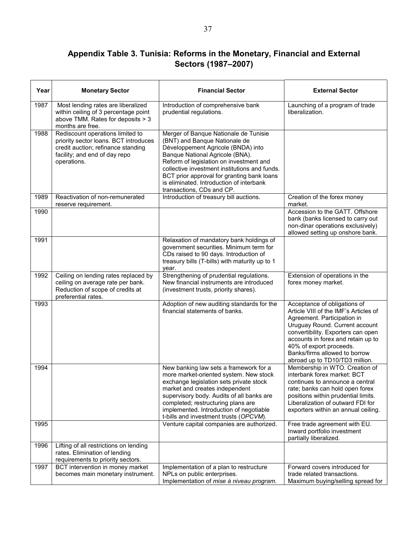## **Appendix Table 3. Tunisia: Reforms in the Monetary, Financial and External Sectors (1987–2007)**

| Year | <b>Monetary Sector</b>                                                                                                                                          | <b>Financial Sector</b>                                                                                                                                                                                                                                                                                                                                            | <b>External Sector</b>                                                                                                                                                                                                                                                                                           |
|------|-----------------------------------------------------------------------------------------------------------------------------------------------------------------|--------------------------------------------------------------------------------------------------------------------------------------------------------------------------------------------------------------------------------------------------------------------------------------------------------------------------------------------------------------------|------------------------------------------------------------------------------------------------------------------------------------------------------------------------------------------------------------------------------------------------------------------------------------------------------------------|
| 1987 | Most lending rates are liberalized<br>within ceiling of 3 percentage point<br>above TMM. Rates for deposits > 3<br>months are free.                             | Introduction of comprehensive bank<br>prudential regulations.                                                                                                                                                                                                                                                                                                      | Launching of a program of trade<br>liberalization.                                                                                                                                                                                                                                                               |
| 1988 | Rediscount operations limited to<br>priority sector loans. BCT introduces<br>credit auction; refinance standing<br>facility; and end of day repo<br>operations. | Merger of Banque Nationale de Tunisie<br>(BNT) and Banque Nationale de<br>Développement Agricole (BNDA) into<br>Banque National Agricole (BNA).<br>Reform of legislation on investment and<br>collective investment institutions and funds.<br>BCT prior approval for granting bank loans<br>is eliminated. Introduction of interbank<br>transactions, CDs and CP. |                                                                                                                                                                                                                                                                                                                  |
| 1989 | Reactivation of non-remunerated<br>reserve requirement.                                                                                                         | Introduction of treasury bill auctions.                                                                                                                                                                                                                                                                                                                            | Creation of the forex money<br>market.                                                                                                                                                                                                                                                                           |
| 1990 |                                                                                                                                                                 |                                                                                                                                                                                                                                                                                                                                                                    | Accession to the GATT. Offshore<br>bank (banks licensed to carry out<br>non-dinar operations exclusively)<br>allowed setting up onshore bank.                                                                                                                                                                    |
| 1991 |                                                                                                                                                                 | Relaxation of mandatory bank holdings of<br>government securities. Minimum term for<br>CDs raised to 90 days. Introduction of<br>treasury bills (T-bills) with maturity up to 1<br>year.                                                                                                                                                                           |                                                                                                                                                                                                                                                                                                                  |
| 1992 | Ceiling on lending rates replaced by<br>ceiling on average rate per bank.<br>Reduction of scope of credits at<br>preferential rates.                            | Strengthening of prudential regulations.<br>New financial instruments are introduced<br>(investment trusts, priority shares).                                                                                                                                                                                                                                      | Extension of operations in the<br>forex money market.                                                                                                                                                                                                                                                            |
| 1993 |                                                                                                                                                                 | Adoption of new auditing standards for the<br>financial statements of banks.                                                                                                                                                                                                                                                                                       | Acceptance of obligations of<br>Article VIII of the IMF's Articles of<br>Agreement. Participation in<br>Uruguay Round. Current account<br>convertibility. Exporters can open<br>accounts in forex and retain up to<br>40% of export proceeds.<br>Banks/firms allowed to borrow<br>abroad up to TD10/TD3 million. |
| 1994 |                                                                                                                                                                 | New banking law sets a framework for a<br>more market-oriented system. New stock<br>exchange legislation sets private stock<br>market and creates independent<br>supervisory body. Audits of all banks are<br>completed; restructuring plans are<br>implemented. Introduction of negotiable<br>t-bills and investment trusts (OPCVM).                              | Membership in WTO. Creation of<br>interbank forex market: BCT<br>continues to announce a central<br>rate; banks can hold open forex<br>positions within prudential limits.<br>Liberalization of outward FDI for<br>exporters within an annual ceiling.                                                           |
| 1995 |                                                                                                                                                                 | Venture capital companies are authorized.                                                                                                                                                                                                                                                                                                                          | Free trade agreement with EU.<br>Inward portfolio investment<br>partially liberalized.                                                                                                                                                                                                                           |
| 1996 | Lifting of all restrictions on lending<br>rates. Elimination of lending<br>requirements to priority sectors.                                                    |                                                                                                                                                                                                                                                                                                                                                                    |                                                                                                                                                                                                                                                                                                                  |
| 1997 | BCT intervention in money market<br>becomes main monetary instrument.                                                                                           | Implementation of a plan to restructure<br>NPLs on public enterprises.<br>Implementation of mise à niveau program.                                                                                                                                                                                                                                                 | Forward covers introduced for<br>trade related transactions.<br>Maximum buying/selling spread for                                                                                                                                                                                                                |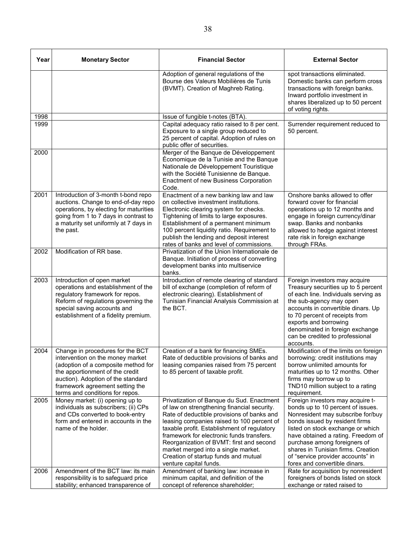| Year | <b>Monetary Sector</b>                                                                                                                                                                                                                                     | <b>Financial Sector</b>                                                                                                                                                                                                                                                                                                                                                                                                               | <b>External Sector</b>                                                                                                                                                                                                                                                                                                                                              |  |
|------|------------------------------------------------------------------------------------------------------------------------------------------------------------------------------------------------------------------------------------------------------------|---------------------------------------------------------------------------------------------------------------------------------------------------------------------------------------------------------------------------------------------------------------------------------------------------------------------------------------------------------------------------------------------------------------------------------------|---------------------------------------------------------------------------------------------------------------------------------------------------------------------------------------------------------------------------------------------------------------------------------------------------------------------------------------------------------------------|--|
|      |                                                                                                                                                                                                                                                            | Adoption of general regulations of the<br>Bourse des Valeurs Mobilières de Tunis<br>(BVMT). Creation of Maghreb Rating.                                                                                                                                                                                                                                                                                                               | spot transactions eliminated.<br>Domestic banks can perform cross<br>transactions with foreign banks.<br>Inward portfolio investment in<br>shares liberalized up to 50 percent<br>of voting rights.                                                                                                                                                                 |  |
| 1998 |                                                                                                                                                                                                                                                            | Issue of fungible t-notes (BTA).                                                                                                                                                                                                                                                                                                                                                                                                      |                                                                                                                                                                                                                                                                                                                                                                     |  |
| 1999 |                                                                                                                                                                                                                                                            | Capital adequacy ratio raised to 8 per cent.<br>Exposure to a single group reduced to<br>25 percent of capital. Adoption of rules on<br>public offer of securities.                                                                                                                                                                                                                                                                   | Surrender requirement reduced to<br>50 percent.                                                                                                                                                                                                                                                                                                                     |  |
| 2000 |                                                                                                                                                                                                                                                            | Merger of the Banque de Développement<br>Économique de la Tunisie and the Banque<br>Nationale de Développement Touristique<br>with the Société Tunisienne de Banque.<br>Enactment of new Business Corporation<br>Code.                                                                                                                                                                                                                |                                                                                                                                                                                                                                                                                                                                                                     |  |
| 2001 | Introduction of 3-month t-bond repo<br>auctions. Change to end-of-day repo<br>operations, by electing for maturities<br>going from 1 to 7 days in contrast to<br>a maturity set uniformly at 7 days in<br>the past.                                        | Enactment of a new banking law and law<br>on collective investment institutions.<br>Electronic clearing system for checks.<br>Tightening of limits to large exposures.<br>Establishment of a permanent minimum<br>100 percent liquidity ratio. Requirement to<br>publish the lending and deposit interest<br>rates of banks and level of commissions.                                                                                 | Onshore banks allowed to offer<br>forward cover for financial<br>operations up to 12 months and<br>engage in foreign currency/dinar<br>swap. Banks and nonbanks<br>allowed to hedge against interest<br>rate risk in foreign exchange<br>through FRAs.                                                                                                              |  |
| 2002 | Modification of RR base.                                                                                                                                                                                                                                   | Privatization of the Union Internationale de<br>Banque. Initiation of process of converting<br>development banks into multiservice<br>banks.                                                                                                                                                                                                                                                                                          |                                                                                                                                                                                                                                                                                                                                                                     |  |
| 2003 | Introduction of open market<br>operations and establishment of the<br>regulatory framework for repos.<br>Reform of regulations governing the<br>special saving accounts and<br>establishment of a fidelity premium.                                        | Introduction of remote clearing of standard<br>bill of exchange (completion of reform of<br>electronic clearing). Establishment of<br>Tunisian Financial Analysis Commission at<br>the BCT.                                                                                                                                                                                                                                           | Foreign investors may acquire<br>Treasury securities up to 5 percent<br>of each line. Individuals serving as<br>the sub-agency may open<br>accounts in convertible dinars. Up<br>to 70 percent of receipts from<br>exports and borrowing<br>denominated in foreign exchange<br>can be credited to professional<br>accounts.                                         |  |
| 2004 | Change in procedures for the BCT<br>intervention on the money market<br>(adoption of a composite method for<br>the apportionment of the credit<br>auction). Adoption of the standard<br>framework agreement setting the<br>terms and conditions for repos. | Creation of a bank for financing SMEs.<br>Rate of deductible provisions of banks and<br>leasing companies raised from 75 percent<br>to 85 percent of taxable profit.                                                                                                                                                                                                                                                                  | Modification of the limits on foreign<br>borrowing: credit institutions may<br>borrow unlimited amounts for<br>maturities up to 12 months. Other<br>firms may borrow up to<br>TND10 million subject to a rating<br>requirement.                                                                                                                                     |  |
| 2005 | Money market: (i) opening up to<br>individuals as subscribers; (ii) CPs<br>and CDs converted to book-entry<br>form and entered in accounts in the<br>name of the holder.                                                                                   | Privatization of Banque du Sud. Enactment<br>of law on strengthening financial security.<br>Rate of deductible provisions of banks and<br>leasing companies raised to 100 percent of<br>taxable profit. Establishment of regulatory<br>framework for electronic funds transfers.<br>Reorganization of BVMT: first and second<br>market merged into a single market.<br>Creation of startup funds and mutual<br>venture capital funds. | Foreign investors may acquire t-<br>bonds up to 10 percent of issues.<br>Nonresident may subscribe for/buy<br>bonds issued by resident firms<br>listed on stock exchange or which<br>have obtained a rating. Freedom of<br>purchase among foreigners of<br>shares in Tunisian firms. Creation<br>of "service provider accounts" in<br>forex and convertible dinars. |  |
| 2006 | Amendment of the BCT law: its main<br>responsibility is to safeguard price                                                                                                                                                                                 | Amendment of banking law: increase in<br>minimum capital, and definition of the                                                                                                                                                                                                                                                                                                                                                       | Rate for acquisition by nonresident<br>foreigners of bonds listed on stock                                                                                                                                                                                                                                                                                          |  |
|      | stability; enhanced transparence of                                                                                                                                                                                                                        | concept of reference shareholder;                                                                                                                                                                                                                                                                                                                                                                                                     | exchange or rated raised to                                                                                                                                                                                                                                                                                                                                         |  |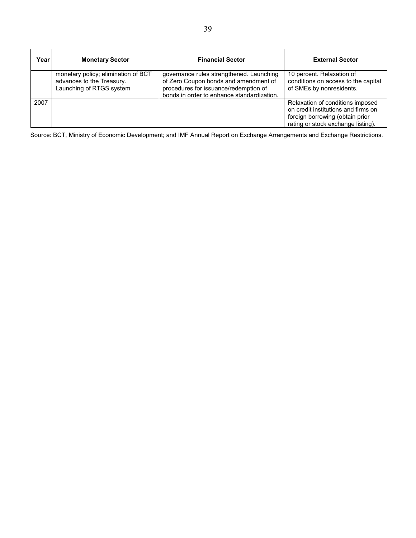| Year | <b>Monetary Sector</b>                                                                       | <b>Financial Sector</b>                                                                                                                                                  | <b>External Sector</b>                                                                                                                           |
|------|----------------------------------------------------------------------------------------------|--------------------------------------------------------------------------------------------------------------------------------------------------------------------------|--------------------------------------------------------------------------------------------------------------------------------------------------|
|      | monetary policy; elimination of BCT<br>advances to the Treasury.<br>Launching of RTGS system | governance rules strengthened. Launching<br>of Zero Coupon bonds and amendment of<br>procedures for issuance/redemption of<br>bonds in order to enhance standardization. | 10 percent. Relaxation of<br>conditions on access to the capital<br>of SMEs by nonresidents.                                                     |
| 2007 |                                                                                              |                                                                                                                                                                          | Relaxation of conditions imposed<br>on credit institutions and firms on<br>foreign borrowing (obtain prior<br>rating or stock exchange listing). |

Source: BCT, Ministry of Economic Development; and IMF Annual Report on Exchange Arrangements and Exchange Restrictions.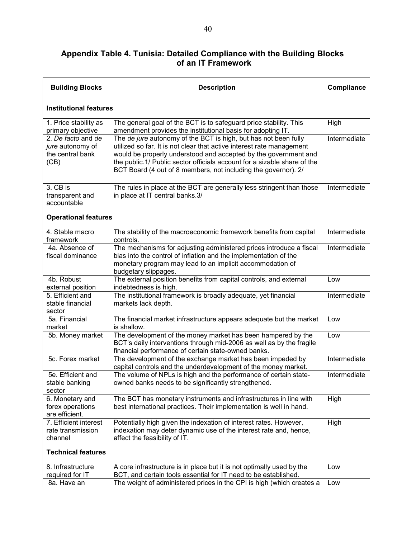## **Appendix Table 4. Tunisia: Detailed Compliance with the Building Blocks of an IT Framework**

| <b>Building Blocks</b>                                             | <b>Description</b>                                                                                                                                                                                                                                                                                                                                        |              |  |
|--------------------------------------------------------------------|-----------------------------------------------------------------------------------------------------------------------------------------------------------------------------------------------------------------------------------------------------------------------------------------------------------------------------------------------------------|--------------|--|
| <b>Institutional features</b>                                      |                                                                                                                                                                                                                                                                                                                                                           |              |  |
| 1. Price stability as<br>primary objective                         | The general goal of the BCT is to safeguard price stability. This<br>amendment provides the institutional basis for adopting IT.                                                                                                                                                                                                                          | High         |  |
| 2. De facto and de<br>jure autonomy of<br>the central bank<br>(CB) | The de jure autonomy of the BCT is high, but has not been fully<br>utilized so far. It is not clear that active interest rate management<br>would be properly understood and accepted by the government and<br>the public.1/ Public sector officials account for a sizable share of the<br>BCT Board (4 out of 8 members, not including the governor). 2/ | Intermediate |  |
| 3. CB is<br>transparent and<br>accountable                         | The rules in place at the BCT are generally less stringent than those<br>in place at IT central banks.3/                                                                                                                                                                                                                                                  | Intermediate |  |
| <b>Operational features</b>                                        |                                                                                                                                                                                                                                                                                                                                                           |              |  |
| 4. Stable macro<br>framework                                       | The stability of the macroeconomic framework benefits from capital<br>controls.                                                                                                                                                                                                                                                                           | Intermediate |  |
| 4a. Absence of<br>fiscal dominance                                 | The mechanisms for adjusting administered prices introduce a fiscal<br>bias into the control of inflation and the implementation of the<br>monetary program may lead to an implicit accommodation of<br>budgetary slippages.                                                                                                                              | Intermediate |  |
| 4b. Robust<br>external position                                    | The external position benefits from capital controls, and external<br>indebtedness is high.                                                                                                                                                                                                                                                               | Low          |  |
| 5. Efficient and<br>stable financial<br>sector                     | The institutional framework is broadly adequate, yet financial<br>markets lack depth.                                                                                                                                                                                                                                                                     | Intermediate |  |
| 5a. Financial<br>market                                            | The financial market infrastructure appears adequate but the market<br>is shallow.                                                                                                                                                                                                                                                                        | Low          |  |
| 5b. Money market                                                   | The development of the money market has been hampered by the<br>BCT's daily interventions through mid-2006 as well as by the fragile<br>financial performance of certain state-owned banks.                                                                                                                                                               | Low          |  |
| 5c. Forex market                                                   | The development of the exchange market has been impeded by<br>capital controls and the underdevelopment of the money market.                                                                                                                                                                                                                              | Intermediate |  |
| 5e. Efficient and<br>stable banking<br>sector                      | The volume of NPLs is high and the performance of certain state-<br>owned banks needs to be significantly strengthened.                                                                                                                                                                                                                                   | Intermediate |  |
| 6. Monetary and<br>forex operations<br>are efficient.              | The BCT has monetary instruments and infrastructures in line with<br>best international practices. Their implementation is well in hand.                                                                                                                                                                                                                  | High         |  |
| 7. Efficient interest<br>rate transmission<br>channel              | Potentially high given the indexation of interest rates. However,<br>indexation may deter dynamic use of the interest rate and, hence,<br>affect the feasibility of IT.                                                                                                                                                                                   | High         |  |
| <b>Technical features</b>                                          |                                                                                                                                                                                                                                                                                                                                                           |              |  |
| 8. Infrastructure<br>required for IT                               | A core infrastructure is in place but it is not optimally used by the<br>BCT, and certain tools essential for IT need to be established.                                                                                                                                                                                                                  | Low          |  |
| 8a. Have an                                                        | The weight of administered prices in the CPI is high (which creates a                                                                                                                                                                                                                                                                                     | Low          |  |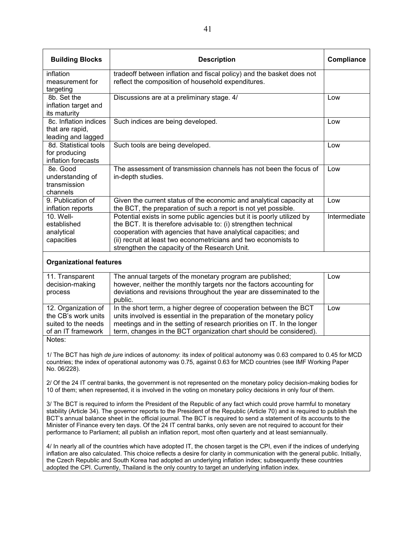| <b>Building Blocks</b>                      | <b>Description</b>                                                                                                                             | Compliance   |  |
|---------------------------------------------|------------------------------------------------------------------------------------------------------------------------------------------------|--------------|--|
| inflation                                   | tradeoff between inflation and fiscal policy) and the basket does not                                                                          |              |  |
| measurement for                             | reflect the composition of household expenditures.                                                                                             |              |  |
| targeting<br>8b. Set the                    | Discussions are at a preliminary stage. 4/                                                                                                     | Low          |  |
| inflation target and                        |                                                                                                                                                |              |  |
| its maturity                                |                                                                                                                                                |              |  |
| 8c. Inflation indices                       | Such indices are being developed.                                                                                                              | Low          |  |
| that are rapid,                             |                                                                                                                                                |              |  |
| leading and lagged<br>8d. Statistical tools | Such tools are being developed.                                                                                                                | Low          |  |
| for producing                               |                                                                                                                                                |              |  |
| inflation forecasts                         |                                                                                                                                                |              |  |
| 8e. Good                                    | The assessment of transmission channels has not been the focus of                                                                              | Low          |  |
| understanding of                            | in-depth studies.                                                                                                                              |              |  |
| transmission                                |                                                                                                                                                |              |  |
| channels                                    |                                                                                                                                                |              |  |
| 9. Publication of                           | Given the current status of the economic and analytical capacity at                                                                            | Low          |  |
| inflation reports                           | the BCT, the preparation of such a report is not yet possible.                                                                                 |              |  |
| 10. Well-                                   | Potential exists in some public agencies but it is poorly utilized by                                                                          | Intermediate |  |
| established                                 | the BCT. It is therefore advisable to: (i) strengthen technical                                                                                |              |  |
| analytical<br>capacities                    | cooperation with agencies that have analytical capacities; and<br>(ii) recruit at least two econometricians and two economists to              |              |  |
|                                             | strengthen the capacity of the Research Unit.                                                                                                  |              |  |
|                                             |                                                                                                                                                |              |  |
| <b>Organizational features</b>              |                                                                                                                                                |              |  |
| 11. Transparent                             | The annual targets of the monetary program are published;                                                                                      | Low          |  |
| decision-making                             | however, neither the monthly targets nor the factors accounting for<br>adi at ana anal seu iainse theore haut tha reasona alianaminatal ta tha |              |  |

| <u>UCUSIUI-IIIANIIY</u><br>process                                                      | Trowever, Heilher the Highling targets hor the factors accounting for<br>deviations and revisions throughout the year are disseminated to the<br>public.                                                                                                                                    |     |
|-----------------------------------------------------------------------------------------|---------------------------------------------------------------------------------------------------------------------------------------------------------------------------------------------------------------------------------------------------------------------------------------------|-----|
| 12. Organization of<br>the CB's work units<br>suited to the needs<br>of an IT framework | In the short term, a higher degree of cooperation between the BCT<br>units involved is essential in the preparation of the monetary policy<br>meetings and in the setting of research priorities on IT. In the longer<br>term, changes in the BCT organization chart should be considered). | Low |
| Notes:                                                                                  |                                                                                                                                                                                                                                                                                             |     |

1/ The BCT has high *de jure* indices of autonomy: its index of political autonomy was 0.63 compared to 0.45 for MCD countries; the index of operational autonomy was 0.75, against 0.63 for MCD countries (see IMF Working Paper No. 06/228).

2/ Of the 24 IT central banks, the government is not represented on the monetary policy decision-making bodies for 10 of them; when represented, it is involved in the voting on monetary policy decisions in only four of them.

3/ The BCT is required to inform the President of the Republic of any fact which could prove harmful to monetary stability (Article 34). The governor reports to the President of the Republic (Article 70) and is required to publish the BCT's annual balance sheet in the official journal. The BCT is required to send a statement of its accounts to the Minister of Finance every ten days. Of the 24 IT central banks, only seven are not required to account for their performance to Parliament; all publish an inflation report, most often quarterly and at least semiannually.

4/ In nearly all of the countries which have adopted IT, the chosen target is the CPI, even if the indices of underlying inflation are also calculated. This choice reflects a desire for clarity in communication with the general public. Initially, the Czech Republic and South Korea had adopted an underlying inflation index; subsequently these countries adopted the CPI. Currently, Thailand is the only country to target an underlying inflation index.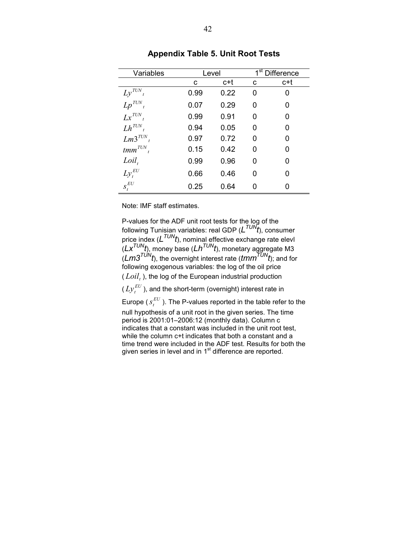| Variables     | Level |      |   | $\overline{1}^{\rm st}$ Difference |
|---------------|-------|------|---|------------------------------------|
|               | C     | c+t  | с | c+t                                |
| $Ly^{TUN}$ ,  | 0.99  | 0.22 | 0 | 0                                  |
| $Lp^{TUN}$    | 0.07  | 0.29 | O | O                                  |
| $Lx^{TUN}$    | 0.99  | 0.91 | ი | 0                                  |
| $Lh^{TUN}$    | 0.94  | 0.05 | ი | 0                                  |
| $Lm3^{TUN}$   | 0.97  | 0.72 | ი | O                                  |
| $tmm^{TUN}$ . | 0.15  | 0.42 | O | O                                  |
| $Loil_t$      | 0.99  | 0.96 | ი | O                                  |
| $Ly_t^{EU}$   | 0.66  | 0.46 | ი | n                                  |
| $S_t^{EU}$    | 0.25  | 0.64 |   |                                    |

**Appendix Table 5. Unit Root Tests** 

Note: IMF staff estimates.

P-values for the ADF unit root tests for the log of the following Tunisian variables: real GDP ( $L^{TUN}$ t), consumer price index (*LTUNt*), nominal effective exchange rate elevl (*LxTUNt*), money base (*LhTUNt*), monetary aggregate M3 (*Lm3TUNt*), the overnight interest rate (*tmmTUNt*); and for following exogenous variables: the log of the oil price  $(Loil<sub>t</sub>)$ , the log of the European industrial production  $(Ly_t^{EU})$ , and the short-term (overnight) interest rate in Europe ( $s_t^{EU}$  ). The P-values reported in the table refer to the null hypothesis of a unit root in the given series. The time period is 2001:01–2006:12 (monthly data). Column c indicates that a constant was included in the unit root test, while the column c+t indicates that both a constant and a time trend were included in the ADF test. Results for both the given series in level and in 1<sup>st</sup> difference are reported.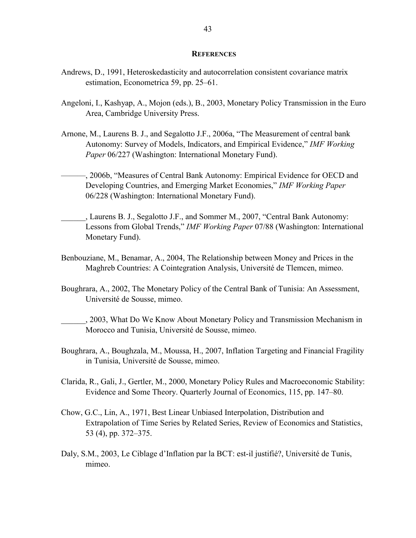#### **REFERENCES**

- Andrews, D., 1991, Heteroskedasticity and autocorrelation consistent covariance matrix estimation, Econometrica 59, pp. 25–61.
- Angeloni, I., Kashyap, A., Mojon (eds.), B., 2003, Monetary Policy Transmission in the Euro Area, Cambridge University Press.
- Arnone, M., Laurens B. J., and Segalotto J.F., 2006a, "The Measurement of central bank Autonomy: Survey of Models, Indicators, and Empirical Evidence," *IMF Working Paper* 06/227 (Washington: International Monetary Fund).
	- ———, 2006b, "Measures of Central Bank Autonomy: Empirical Evidence for OECD and Developing Countries, and Emerging Market Economies," *IMF Working Paper* 06/228 (Washington: International Monetary Fund).
- \_\_\_\_\_\_, Laurens B. J., Segalotto J.F., and Sommer M., 2007, "Central Bank Autonomy: Lessons from Global Trends," *IMF Working Paper* 07/88 (Washington: International Monetary Fund).
- Benbouziane, M., Benamar, A., 2004, The Relationship between Money and Prices in the Maghreb Countries: A Cointegration Analysis, Université de Tlemcen, mimeo.
- Boughrara, A., 2002, The Monetary Policy of the Central Bank of Tunisia: An Assessment, Université de Sousse, mimeo.
	- \_\_\_\_\_\_, 2003, What Do We Know About Monetary Policy and Transmission Mechanism in Morocco and Tunisia, Université de Sousse, mimeo.
- Boughrara, A., Boughzala, M., Moussa, H., 2007, Inflation Targeting and Financial Fragility in Tunisia, Université de Sousse, mimeo.
- Clarida, R., Gali, J., Gertler, M., 2000, Monetary Policy Rules and Macroeconomic Stability: Evidence and Some Theory. Quarterly Journal of Economics, 115, pp. 147–80.
- Chow, G.C., Lin, A., 1971, Best Linear Unbiased Interpolation, Distribution and Extrapolation of Time Series by Related Series, Review of Economics and Statistics, 53 (4), pp. 372–375.
- Daly, S.M., 2003, Le Ciblage d'Inflation par la BCT: est-il justifié?, Université de Tunis, mimeo.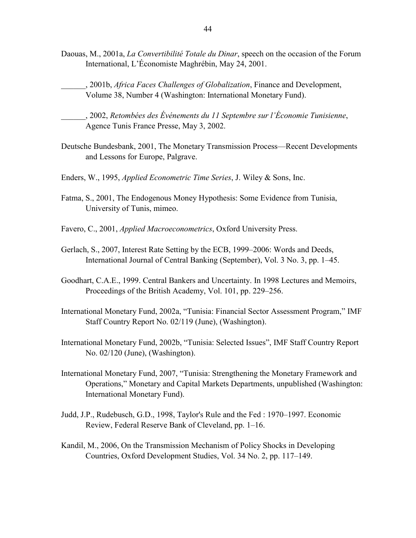- Daouas, M., 2001a, *La Convertibilité Totale du Dinar*, speech on the occasion of the Forum International, L'Économiste Maghrébin, May 24, 2001.
	- \_\_\_\_\_\_, 2001b, *Africa Faces Challenges of Globalization*, Finance and Development, Volume 38, Number 4 (Washington: International Monetary Fund).
	- \_\_\_\_\_\_, 2002, *Retombées des Événements du 11 Septembre sur l'Économie Tunisienne*, Agence Tunis France Presse, May 3, 2002.
- Deutsche Bundesbank, 2001, The Monetary Transmission Process—Recent Developments and Lessons for Europe, Palgrave.
- Enders, W., 1995, *Applied Econometric Time Series*, J. Wiley & Sons, Inc.
- Fatma, S., 2001, The Endogenous Money Hypothesis: Some Evidence from Tunisia, University of Tunis, mimeo.
- Favero, C., 2001, *Applied Macroeconometrics*, Oxford University Press.
- Gerlach, S., 2007, Interest Rate Setting by the ECB, 1999–2006: Words and Deeds, International Journal of Central Banking (September), Vol. 3 No. 3, pp. 1–45.
- Goodhart, C.A.E., 1999. Central Bankers and Uncertainty. In 1998 Lectures and Memoirs, Proceedings of the British Academy, Vol. 101, pp. 229–256.
- International Monetary Fund, 2002a, "Tunisia: Financial Sector Assessment Program," IMF Staff Country Report No. 02/119 (June), (Washington).
- International Monetary Fund, 2002b, "Tunisia: Selected Issues", IMF Staff Country Report No. 02/120 (June), (Washington).
- International Monetary Fund, 2007, "Tunisia: Strengthening the Monetary Framework and Operations," Monetary and Capital Markets Departments, unpublished (Washington: International Monetary Fund).
- Judd, J.P., Rudebusch, G.D., 1998, Taylor's Rule and the Fed : 1970–1997. Economic Review, Federal Reserve Bank of Cleveland, pp. 1–16.
- Kandil, M., 2006, On the Transmission Mechanism of Policy Shocks in Developing Countries, Oxford Development Studies, Vol. 34 No. 2, pp. 117–149.